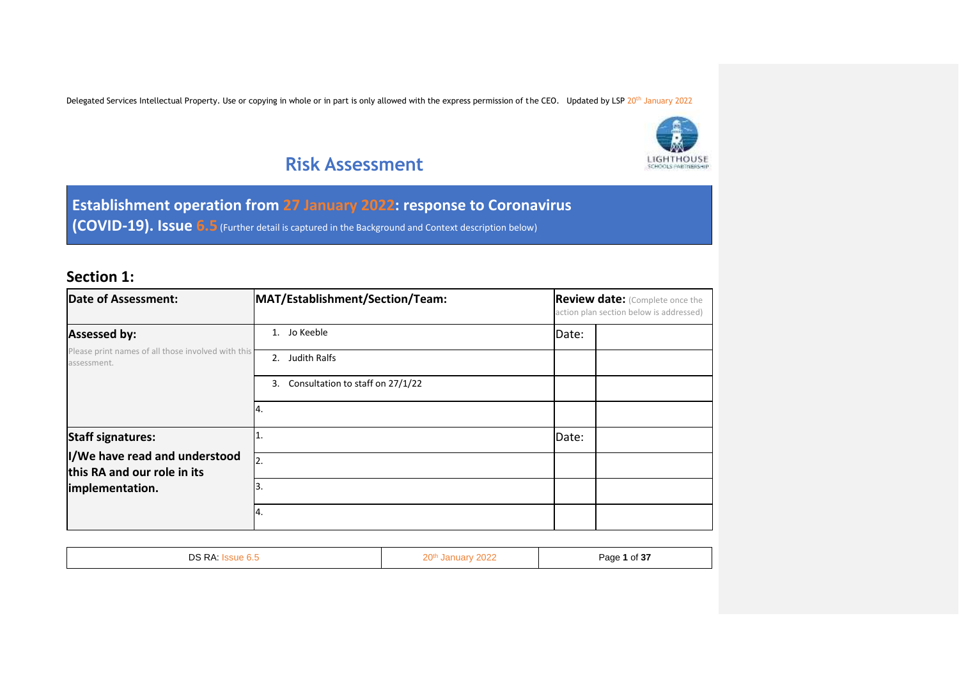

## **Risk Assessment**

**Establishment operation from 27 January 2022: response to Coronavirus (COVID-19). Issue 6.5** (Further detail is captured in the Background and Context description below)

### **Section 1:**

| <b>Date of Assessment:</b><br>MAT/Establishment/Section/Team:                   |                                     | Review date: (Complete once the<br>action plan section below is addressed) |  |  |
|---------------------------------------------------------------------------------|-------------------------------------|----------------------------------------------------------------------------|--|--|
| <b>Assessed by:</b>                                                             | Jo Keeble<br>1.                     | Date:                                                                      |  |  |
| Please print names of all those involved with this<br>assessment.               | 2. Judith Ralfs                     |                                                                            |  |  |
|                                                                                 | 3. Consultation to staff on 27/1/22 |                                                                            |  |  |
|                                                                                 | 14.                                 |                                                                            |  |  |
| <b>Staff signatures:</b>                                                        | I1                                  | Date:                                                                      |  |  |
| I/We have read and understood<br>this RA and our role in its<br>implementation. | 12.                                 |                                                                            |  |  |
|                                                                                 | IЗ.                                 |                                                                            |  |  |
|                                                                                 | 14.                                 |                                                                            |  |  |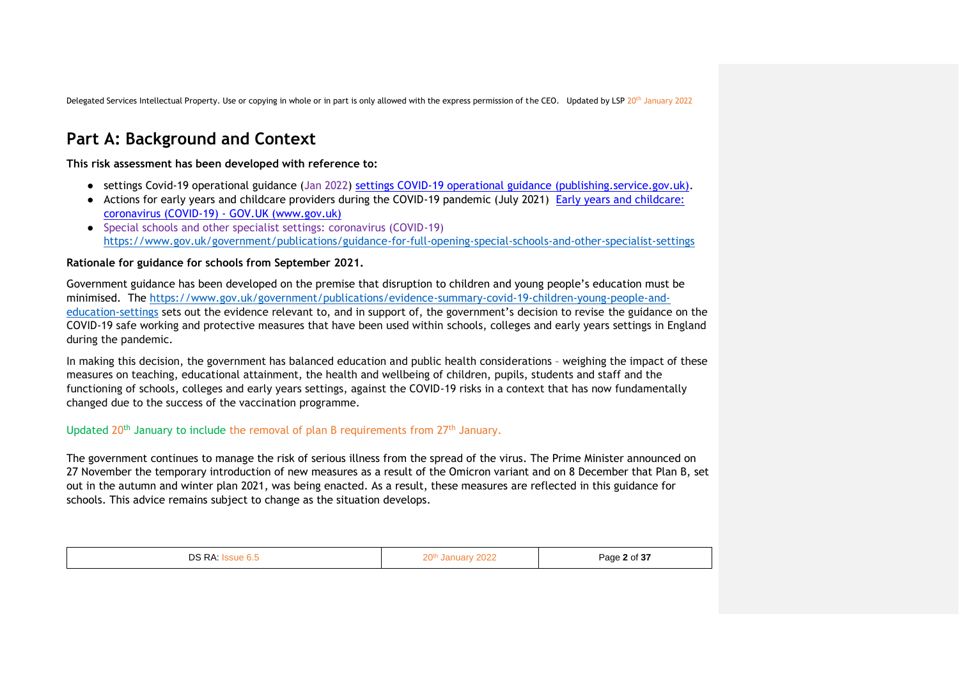## **Part A: Background and Context**

**This risk assessment has been developed with reference to:**

- settings Covid-19 operational guidance (Jan 2022) [settings COVID-19 operational guidance \(publishing.service.gov.uk\).](https://www.gov.uk/government/publications/actions-for-schools-during-the-coronavirus-outbreak)
- Actions for early years and childcare providers during the COVID-19 pandemic (July 2021) [Early years and childcare:](https://www.gov.uk/government/collections/early-years-and-childcare-coronavirus-covid-19?utm_source=07%20July%202021%20C19&utm_medium=Daily%20Email%20C19&utm_campaign=DfE%20C19)  [coronavirus \(COVID-19\) -](https://www.gov.uk/government/collections/early-years-and-childcare-coronavirus-covid-19?utm_source=07%20July%202021%20C19&utm_medium=Daily%20Email%20C19&utm_campaign=DfE%20C19) GOV.UK (www.gov.uk)
- Special schools and other specialist settings: coronavirus (COVID-19) <https://www.gov.uk/government/publications/guidance-for-full-opening-special-schools-and-other-specialist-settings>

#### **Rationale for guidance for schools from September 2021.**

Government guidance has been developed on the premise that disruption to children and young people's education must be minimised. The [https://www.gov.uk/government/publications/evidence-summary-covid-19-children-young-people-and](https://www.gov.uk/government/publications/evidence-summary-covid-19-children-young-people-and-education-settings)[education-settings](https://www.gov.uk/government/publications/evidence-summary-covid-19-children-young-people-and-education-settings) sets out the evidence relevant to, and in support of, the government's decision to revise the guidance on the COVID-19 safe working and protective measures that have been used within schools, colleges and early years settings in England during the pandemic.

In making this decision, the government has balanced education and public health considerations – weighing the impact of these measures on teaching, educational attainment, the health and wellbeing of children, pupils, students and staff and the functioning of schools, colleges and early years settings, against the COVID-19 risks in a context that has now fundamentally changed due to the success of the vaccination programme.

#### Updated 20<sup>th</sup> January to include the removal of plan B requirements from  $27<sup>th</sup>$  January.

The government continues to manage the risk of serious illness from the spread of the virus. The Prime Minister announced on 27 November the temporary introduction of new measures as a result of the Omicron variant and on 8 December that Plan B, set out in the autumn and winter plan 2021, was being enacted. As a result, these measures are reflected in this guidance for schools. This advice remains subject to change as the situation develops.

| DS RA:<br>'≈sue 6<br>. v.v | 20 <sup>th</sup><br>2022<br>'anuarv | Page 2 of 37 |
|----------------------------|-------------------------------------|--------------|
|----------------------------|-------------------------------------|--------------|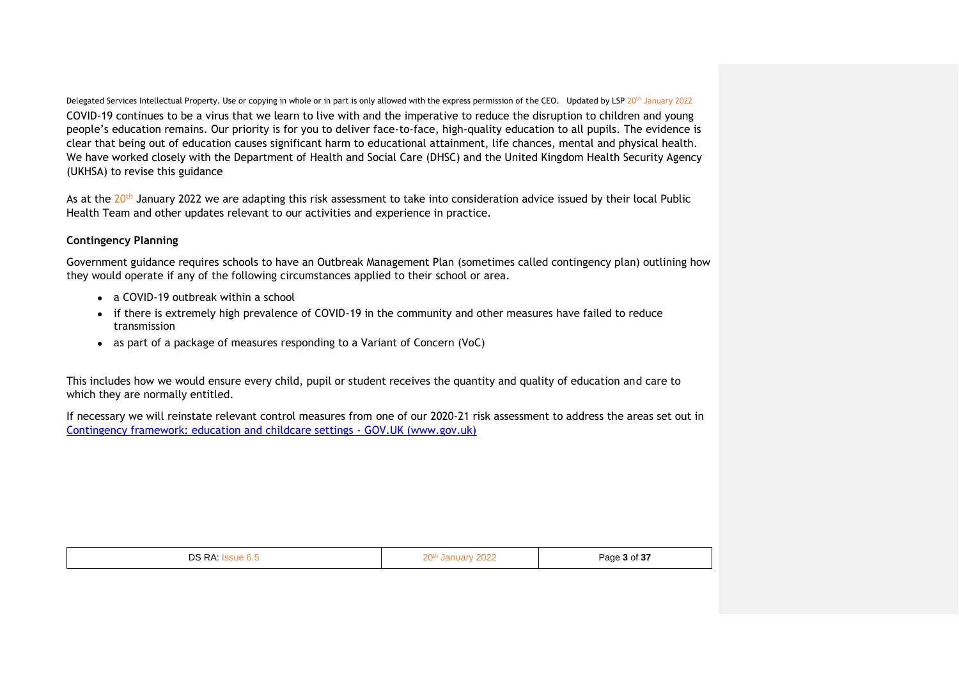Delegated Services Intellectual Property. Use or copying in whole or in part is only allowed with the express permission of the CEO. Updated by LSP 20<sup>th</sup> January 2022 COVID-19 continues to be a virus that we learn to live with and the imperative to reduce the disruption to children and young people's education remains. Our priority is for you to deliver face-to-face, high-quality education to all pupils. The evidence is clear that being out of education causes significant harm to educational attainment, life chances, mental and physical health. We have worked closely with the Department of Health and Social Care (DHSC) and the United Kingdom Health Security Agency (UKHSA) to revise this guidance

As at the 20th January 2022 we are adapting this risk assessment to take into consideration advice issued by their local Public Health Team and other updates relevant to our activities and experience in practice.

#### **Contingency Planning**

Government guidance requires schools to have an Outbreak Management Plan (sometimes called contingency plan) outlining how they would operate if any of the following circumstances applied to their school or area.

- a COVID-19 outbreak within a school
- if there is extremely high prevalence of COVID-19 in the community and other measures have failed to reduce transmission
- as part of a package of measures responding to a Variant of Concern (VoC)

This includes how we would ensure every child, pupil or student receives the quantity and quality of education and care to which they are normally entitled.

If necessary we will reinstate relevant control measures from one of our 2020-21 risk assessment to address the areas set out in [Contingency framework: education and childcare settings -](https://www.gov.uk/government/publications/coronavirus-covid-19-local-restrictions-in-education-and-childcare-settings/contingency-framework-education-and-childcare-settings) GOV.UK (www.gov.uk)

| DS RA: I<br>ssue 6.5 | 20th January 2022 | Page 3 of 37 |  |
|----------------------|-------------------|--------------|--|
|                      |                   |              |  |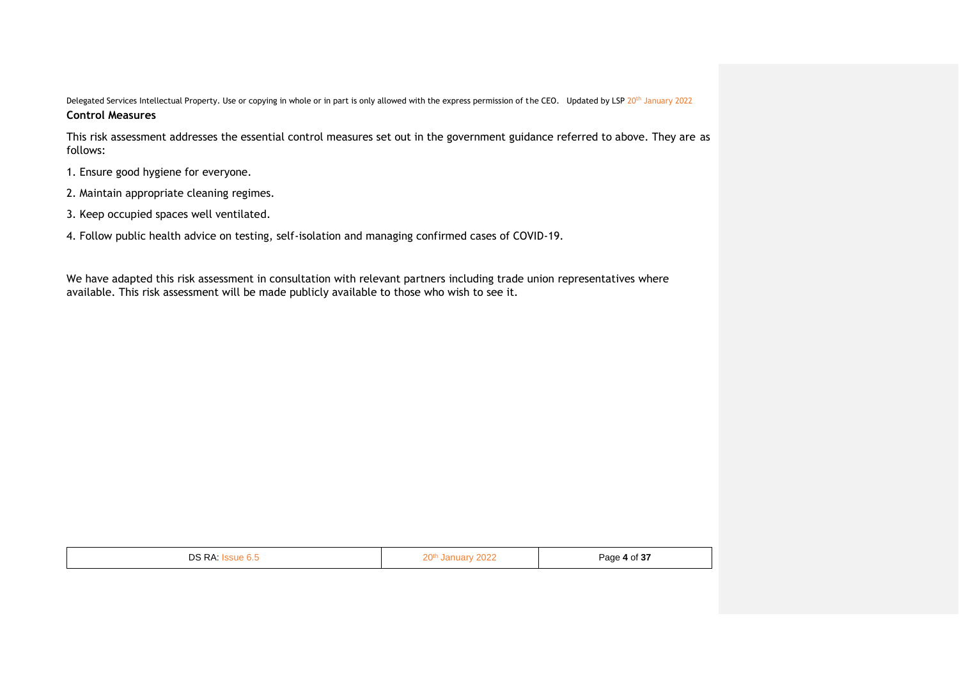This risk assessment addresses the essential control measures set out in the government guidance referred to above. They are as follows:

- 1. Ensure good hygiene for everyone.
- 2. Maintain appropriate cleaning regimes.
- 3. Keep occupied spaces well ventilated.
- 4. Follow public health advice on testing, self-isolation and managing confirmed cases of COVID-19.

We have adapted this risk assessment in consultation with relevant partners including trade union representatives where available. This risk assessment will be made publicly available to those who wish to see it.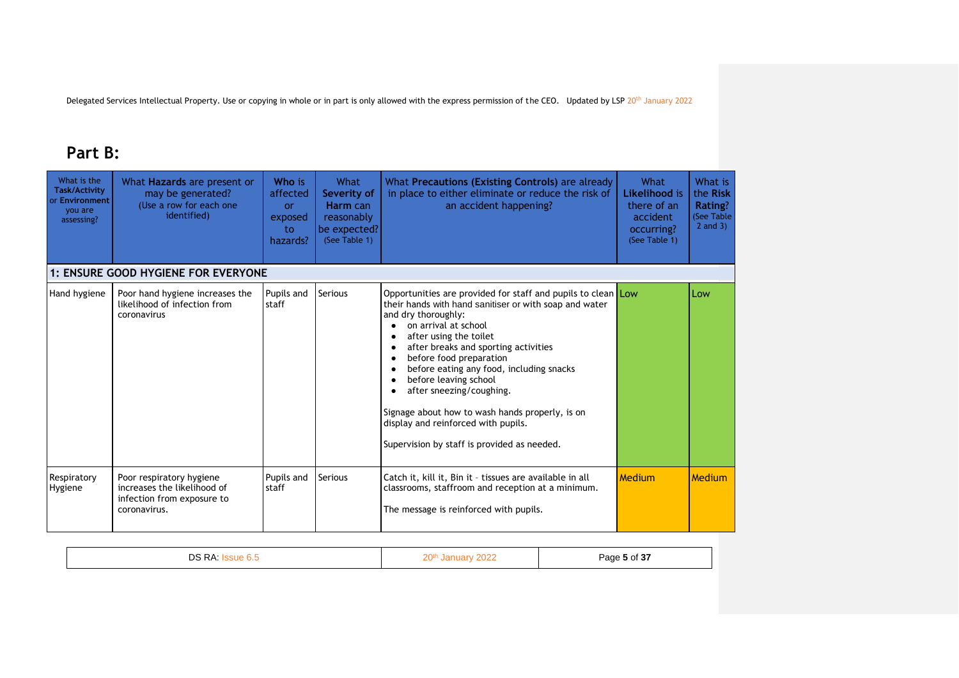## **Part B:**

| What is the<br><b>Task/Activity</b><br>or Environment<br>you are<br>assessing? | What Hazards are present or<br>may be generated?<br>(Use a row for each one<br>identified)            | Who is<br>affected<br><b>or</b><br>exposed<br>to<br>hazards? | What<br>Severity of<br>Harm can<br>reasonably<br>be expected?<br>(See Table 1) | What Precautions (Existing Controls) are already<br>in place to either eliminate or reduce the risk of<br>an accident happening?                                                                                                                                                                                                                                                                                                                                                                             | What<br>Likelihood is<br>there of an<br>accident<br>occurring?<br>(See Table 1) | What is<br>the Risk<br>Rating?<br>(See Table<br>$2$ and $3)$ |
|--------------------------------------------------------------------------------|-------------------------------------------------------------------------------------------------------|--------------------------------------------------------------|--------------------------------------------------------------------------------|--------------------------------------------------------------------------------------------------------------------------------------------------------------------------------------------------------------------------------------------------------------------------------------------------------------------------------------------------------------------------------------------------------------------------------------------------------------------------------------------------------------|---------------------------------------------------------------------------------|--------------------------------------------------------------|
|                                                                                | 1: ENSURE GOOD HYGIENE FOR EVERYONE                                                                   |                                                              |                                                                                |                                                                                                                                                                                                                                                                                                                                                                                                                                                                                                              |                                                                                 |                                                              |
| Hand hygiene                                                                   | Poor hand hygiene increases the<br>likelihood of infection from<br>coronavirus                        | Pupils and<br>staff                                          | <b>Serious</b>                                                                 | Opportunities are provided for staff and pupils to clean Low<br>their hands with hand sanitiser or with soap and water<br>and dry thoroughly:<br>on arrival at school<br>after using the toilet<br>after breaks and sporting activities<br>before food preparation<br>before eating any food, including snacks<br>before leaving school<br>after sneezing/coughing.<br>Signage about how to wash hands properly, is on<br>display and reinforced with pupils.<br>Supervision by staff is provided as needed. |                                                                                 | Low                                                          |
| Respiratory<br>Hygiene                                                         | Poor respiratory hygiene<br>increases the likelihood of<br>infection from exposure to<br>coronavirus. | Pupils and<br>staff                                          | <b>Serious</b>                                                                 | Catch it, kill it, Bin it - tissues are available in all<br>classrooms, staffroom and reception at a minimum.<br>The message is reinforced with pupils.                                                                                                                                                                                                                                                                                                                                                      | <b>Medium</b>                                                                   | Medium                                                       |

| י<br> |  | .<br>. . |
|-------|--|----------|
|-------|--|----------|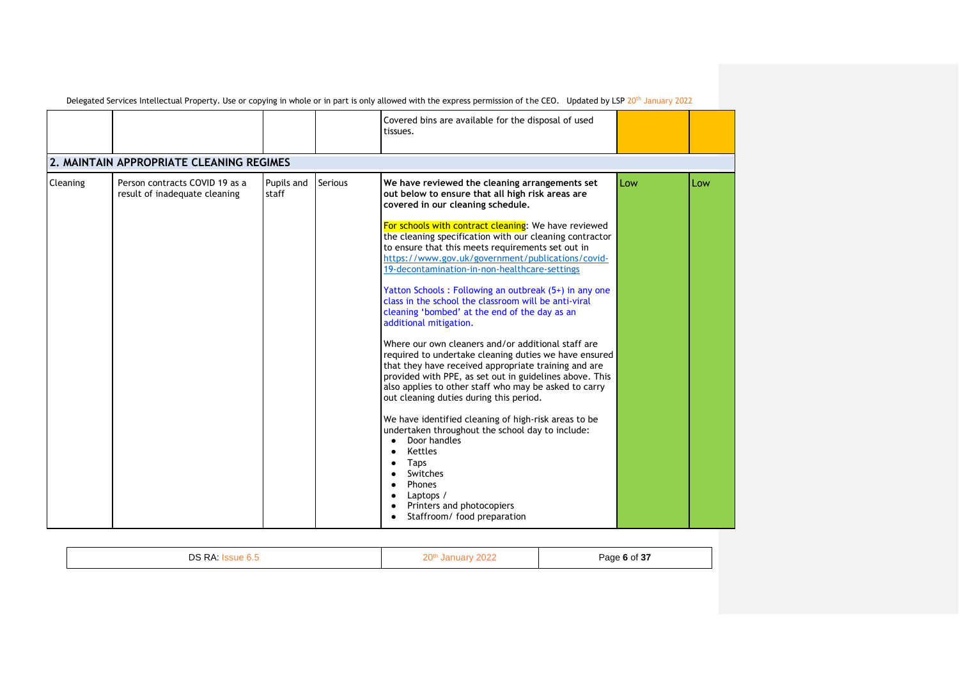|                                          |                                                                 |                     |         | Covered bins are available for the disposal of used<br>tissues.                                                                                                                                                                                                                                                                                                                                                                                                                                                                                                                                                                                                                                                                                                                                                                                                                                                                                                                                                                                                                                                                                                                                       |     |     |
|------------------------------------------|-----------------------------------------------------------------|---------------------|---------|-------------------------------------------------------------------------------------------------------------------------------------------------------------------------------------------------------------------------------------------------------------------------------------------------------------------------------------------------------------------------------------------------------------------------------------------------------------------------------------------------------------------------------------------------------------------------------------------------------------------------------------------------------------------------------------------------------------------------------------------------------------------------------------------------------------------------------------------------------------------------------------------------------------------------------------------------------------------------------------------------------------------------------------------------------------------------------------------------------------------------------------------------------------------------------------------------------|-----|-----|
| 2. MAINTAIN APPROPRIATE CLEANING REGIMES |                                                                 |                     |         |                                                                                                                                                                                                                                                                                                                                                                                                                                                                                                                                                                                                                                                                                                                                                                                                                                                                                                                                                                                                                                                                                                                                                                                                       |     |     |
| Cleaning                                 | Person contracts COVID 19 as a<br>result of inadequate cleaning | Pupils and<br>staff | Serious | We have reviewed the cleaning arrangements set<br>out below to ensure that all high risk areas are<br>covered in our cleaning schedule.<br>For schools with contract cleaning: We have reviewed<br>the cleaning specification with our cleaning contractor<br>to ensure that this meets requirements set out in<br>https://www.gov.uk/government/publications/covid-<br>19-decontamination-in-non-healthcare-settings<br>Yatton Schools: Following an outbreak (5+) in any one<br>class in the school the classroom will be anti-viral<br>cleaning 'bombed' at the end of the day as an<br>additional mitigation.<br>Where our own cleaners and/or additional staff are<br>required to undertake cleaning duties we have ensured<br>that they have received appropriate training and are<br>provided with PPE, as set out in guidelines above. This<br>also applies to other staff who may be asked to carry<br>out cleaning duties during this period.<br>We have identified cleaning of high-risk areas to be<br>undertaken throughout the school day to include:<br>Door handles<br>Kettles<br>Taps<br>Switches<br>Phones<br>Laptops /<br>Printers and photocopiers<br>Staffroom/ food preparation | Low | Low |

| <b>DS RA</b><br>◡ | 20 <sup>th</sup><br>January 1<br>2022 | Page 6 of 37 |
|-------------------|---------------------------------------|--------------|
|                   |                                       |              |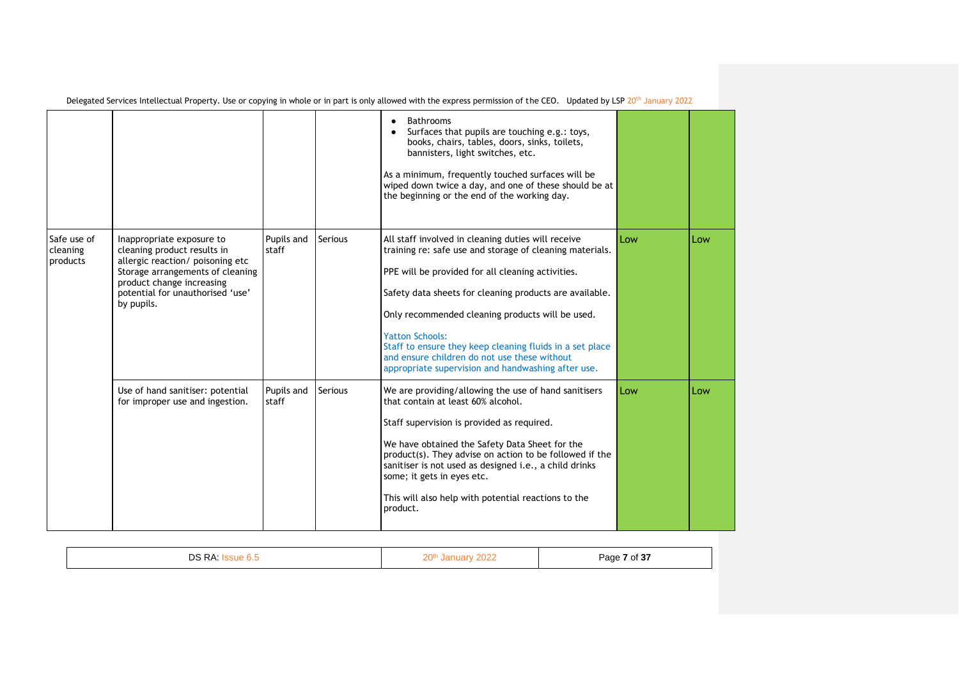|                                     |                                                                                                                                                                                                                 |                     |                | <b>Bathrooms</b><br>Surfaces that pupils are touching e.g.: toys,<br>books, chairs, tables, doors, sinks, toilets,<br>bannisters, light switches, etc.<br>As a minimum, frequently touched surfaces will be<br>wiped down twice a day, and one of these should be at<br>the beginning or the end of the working day.                                                                                                                                                           |     |     |
|-------------------------------------|-----------------------------------------------------------------------------------------------------------------------------------------------------------------------------------------------------------------|---------------------|----------------|--------------------------------------------------------------------------------------------------------------------------------------------------------------------------------------------------------------------------------------------------------------------------------------------------------------------------------------------------------------------------------------------------------------------------------------------------------------------------------|-----|-----|
| Safe use of<br>cleaning<br>products | Inappropriate exposure to<br>cleaning product results in<br>allergic reaction/ poisoning etc<br>Storage arrangements of cleaning<br>product change increasing<br>potential for unauthorised 'use'<br>by pupils. | Pupils and<br>staff | <b>Serious</b> | All staff involved in cleaning duties will receive<br>training re: safe use and storage of cleaning materials.<br>PPE will be provided for all cleaning activities.<br>Safety data sheets for cleaning products are available.<br>Only recommended cleaning products will be used.<br><b>Yatton Schools:</b><br>Staff to ensure they keep cleaning fluids in a set place<br>and ensure children do not use these without<br>appropriate supervision and handwashing after use. | Low | Low |
|                                     | Use of hand sanitiser: potential<br>for improper use and ingestion.                                                                                                                                             | Pupils and<br>staff | <b>Serious</b> | We are providing/allowing the use of hand sanitisers<br>that contain at least 60% alcohol.<br>Staff supervision is provided as required.<br>We have obtained the Safety Data Sheet for the<br>product(s). They advise on action to be followed if the<br>sanitiser is not used as designed i.e., a child drinks<br>some; it gets in eyes etc.<br>This will also help with potential reactions to the<br>product.                                                               | Low | Low |

|--|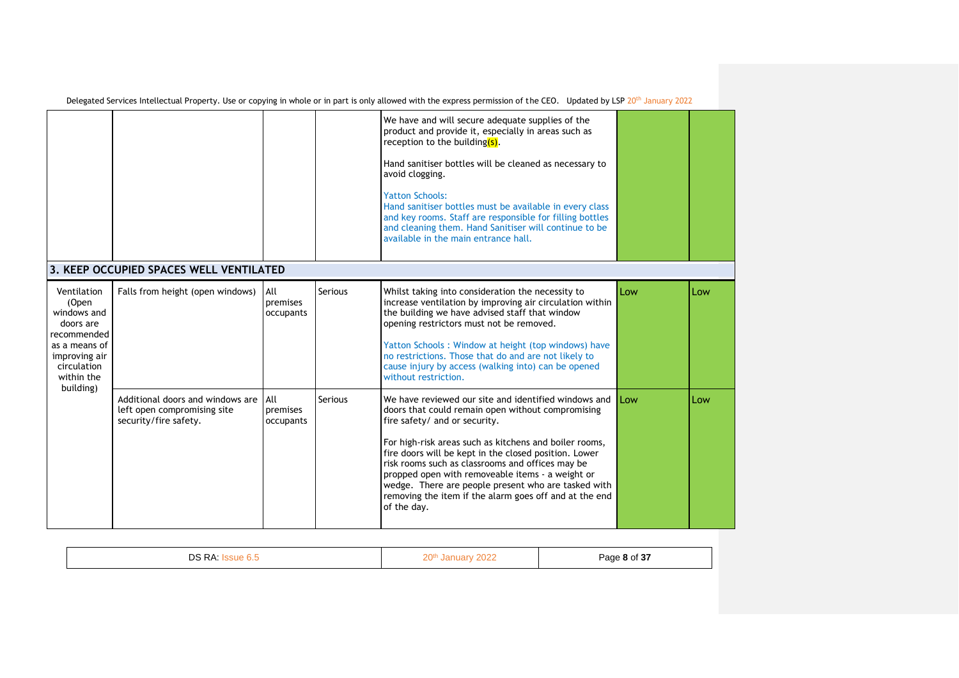|                                                                                                                                |                                                                                          |                              |         | We have and will secure adequate supplies of the<br>product and provide it, especially in areas such as<br>reception to the building(s).<br>Hand sanitiser bottles will be cleaned as necessary to<br>avoid clogging.<br><b>Yatton Schools:</b><br>Hand sanitiser bottles must be available in every class<br>and key rooms. Staff are responsible for filling bottles<br>and cleaning them. Hand Sanitiser will continue to be<br>available in the main entrance hall.                               |     |     |
|--------------------------------------------------------------------------------------------------------------------------------|------------------------------------------------------------------------------------------|------------------------------|---------|-------------------------------------------------------------------------------------------------------------------------------------------------------------------------------------------------------------------------------------------------------------------------------------------------------------------------------------------------------------------------------------------------------------------------------------------------------------------------------------------------------|-----|-----|
|                                                                                                                                | 3. KEEP OCCUPIED SPACES WELL VENTILATED                                                  |                              |         |                                                                                                                                                                                                                                                                                                                                                                                                                                                                                                       |     |     |
| Ventilation<br>(Open<br>windows and<br>doors are<br>recommended<br>as a means of<br>improving air<br>circulation<br>within the | Falls from height (open windows)                                                         | All<br>premises<br>occupants | Serious | Whilst taking into consideration the necessity to<br>increase ventilation by improving air circulation within<br>the building we have advised staff that window<br>opening restrictors must not be removed.<br>Yatton Schools: Window at height (top windows) have<br>no restrictions. Those that do and are not likely to<br>cause injury by access (walking into) can be opened<br>without restriction.                                                                                             | Low | Low |
| building)                                                                                                                      | Additional doors and windows are<br>left open compromising site<br>security/fire safety. | All<br>premises<br>occupants | Serious | We have reviewed our site and identified windows and<br>doors that could remain open without compromising<br>fire safety/ and or security.<br>For high-risk areas such as kitchens and boiler rooms,<br>fire doors will be kept in the closed position. Lower<br>risk rooms such as classrooms and offices may be<br>propped open with removeable items - a weight or<br>wedge. There are people present who are tasked with<br>removing the item if the alarm goes off and at the end<br>of the day. | Low | Low |

|  | DS RA: | $\bigcap_{n\in\mathbb{N}}$<br>000 | Page 8 of 37 |
|--|--------|-----------------------------------|--------------|
|--|--------|-----------------------------------|--------------|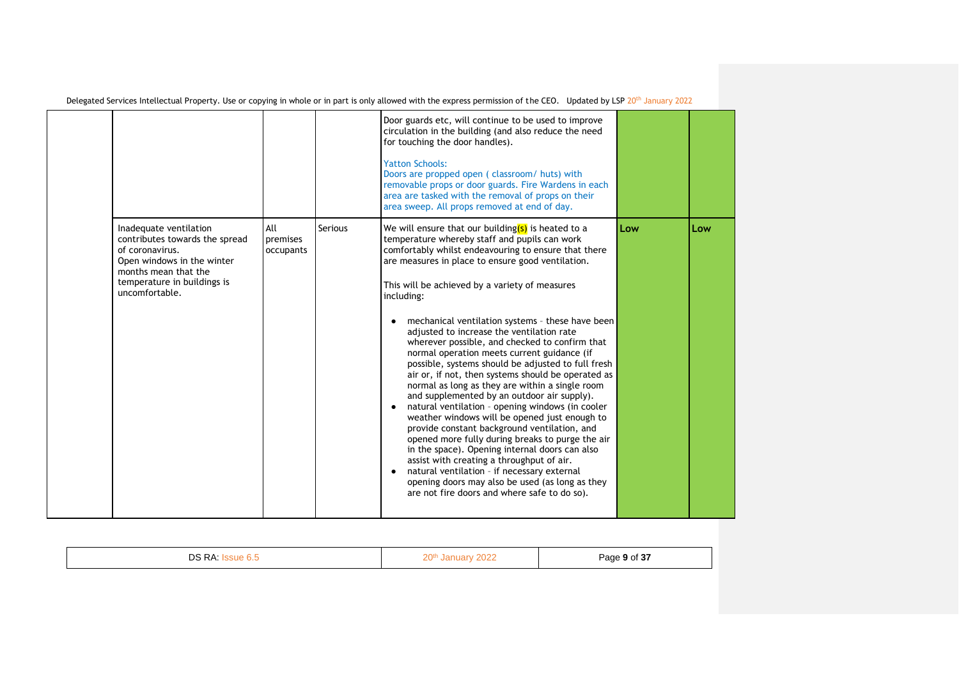|                                                                                                                                                                                    |                              |         | Door guards etc, will continue to be used to improve<br>circulation in the building (and also reduce the need<br>for touching the door handles).<br><b>Yatton Schools:</b><br>Doors are propped open (classroom/huts) with<br>removable props or door guards. Fire Wardens in each<br>area are tasked with the removal of props on their<br>area sweep. All props removed at end of day.                                                                                                                                                                                                                                                                                                                                                                                                                                                                                                                                                                                                                                                                                                                                                                                   |     |     |
|------------------------------------------------------------------------------------------------------------------------------------------------------------------------------------|------------------------------|---------|----------------------------------------------------------------------------------------------------------------------------------------------------------------------------------------------------------------------------------------------------------------------------------------------------------------------------------------------------------------------------------------------------------------------------------------------------------------------------------------------------------------------------------------------------------------------------------------------------------------------------------------------------------------------------------------------------------------------------------------------------------------------------------------------------------------------------------------------------------------------------------------------------------------------------------------------------------------------------------------------------------------------------------------------------------------------------------------------------------------------------------------------------------------------------|-----|-----|
| Inadequate ventilation<br>contributes towards the spread<br>of coronavirus.<br>Open windows in the winter<br>months mean that the<br>temperature in buildings is<br>uncomfortable. | All<br>premises<br>occupants | Serious | We will ensure that our building $(s)$ is heated to a<br>temperature whereby staff and pupils can work<br>comfortably whilst endeavouring to ensure that there<br>are measures in place to ensure good ventilation.<br>This will be achieved by a variety of measures<br>including:<br>mechanical ventilation systems - these have been<br>$\bullet$<br>adjusted to increase the ventilation rate<br>wherever possible, and checked to confirm that<br>normal operation meets current guidance (if<br>possible, systems should be adjusted to full fresh<br>air or, if not, then systems should be operated as<br>normal as long as they are within a single room<br>and supplemented by an outdoor air supply).<br>natural ventilation - opening windows (in cooler<br>weather windows will be opened just enough to<br>provide constant background ventilation, and<br>opened more fully during breaks to purge the air<br>in the space). Opening internal doors can also<br>assist with creating a throughput of air.<br>natural ventilation - if necessary external<br>opening doors may also be used (as long as they<br>are not fire doors and where safe to do so). | Low | Low |

| nc<br>n<br>۰ | 20th<br>.<br>----<br>-- | Page 9 of 37<br>. .<br>$\sim$ $\sim$ |
|--------------|-------------------------|--------------------------------------|
|              |                         |                                      |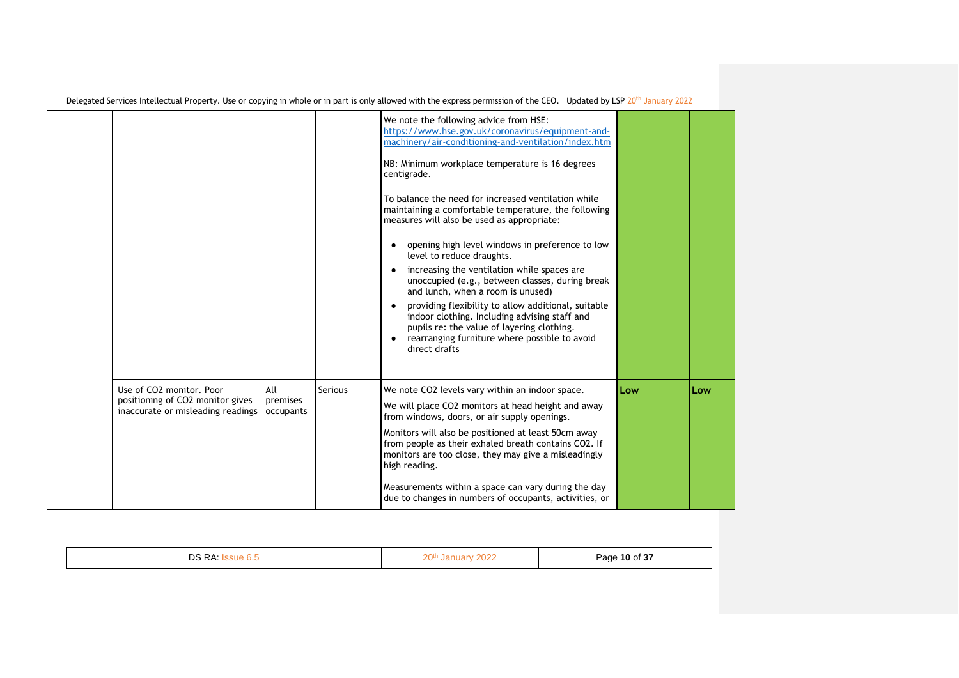|                                                                                                   |                              |                | We note the following advice from HSE:<br>https://www.hse.gov.uk/coronavirus/equipment-and-<br>machinery/air-conditioning-and-ventilation/index.htm<br>NB: Minimum workplace temperature is 16 degrees<br>centigrade.<br>To balance the need for increased ventilation while<br>maintaining a comfortable temperature, the following<br>measures will also be used as appropriate:<br>opening high level windows in preference to low<br>level to reduce draughts.<br>increasing the ventilation while spaces are<br>unoccupied (e.g., between classes, during break<br>and lunch, when a room is unused)<br>providing flexibility to allow additional, suitable<br>indoor clothing. Including advising staff and<br>pupils re: the value of layering clothing.<br>rearranging furniture where possible to avoid<br>direct drafts |     |     |
|---------------------------------------------------------------------------------------------------|------------------------------|----------------|-----------------------------------------------------------------------------------------------------------------------------------------------------------------------------------------------------------------------------------------------------------------------------------------------------------------------------------------------------------------------------------------------------------------------------------------------------------------------------------------------------------------------------------------------------------------------------------------------------------------------------------------------------------------------------------------------------------------------------------------------------------------------------------------------------------------------------------|-----|-----|
| Use of CO2 monitor, Poor<br>positioning of CO2 monitor gives<br>inaccurate or misleading readings | All<br>premises<br>occupants | <b>Serious</b> | We note CO2 levels vary within an indoor space.<br>We will place CO2 monitors at head height and away<br>from windows, doors, or air supply openings.<br>Monitors will also be positioned at least 50cm away<br>from people as their exhaled breath contains CO2. If<br>monitors are too close, they may give a misleadingly<br>high reading.<br>Measurements within a space can vary during the day<br>due to changes in numbers of occupants, activities, or                                                                                                                                                                                                                                                                                                                                                                    | Low | Low |

| D A<br>nc | 20แ<br>the contract of the contract of the | $-$<br>10 of 3,<br>Page<br>. . |
|-----------|--------------------------------------------|--------------------------------|
|           |                                            |                                |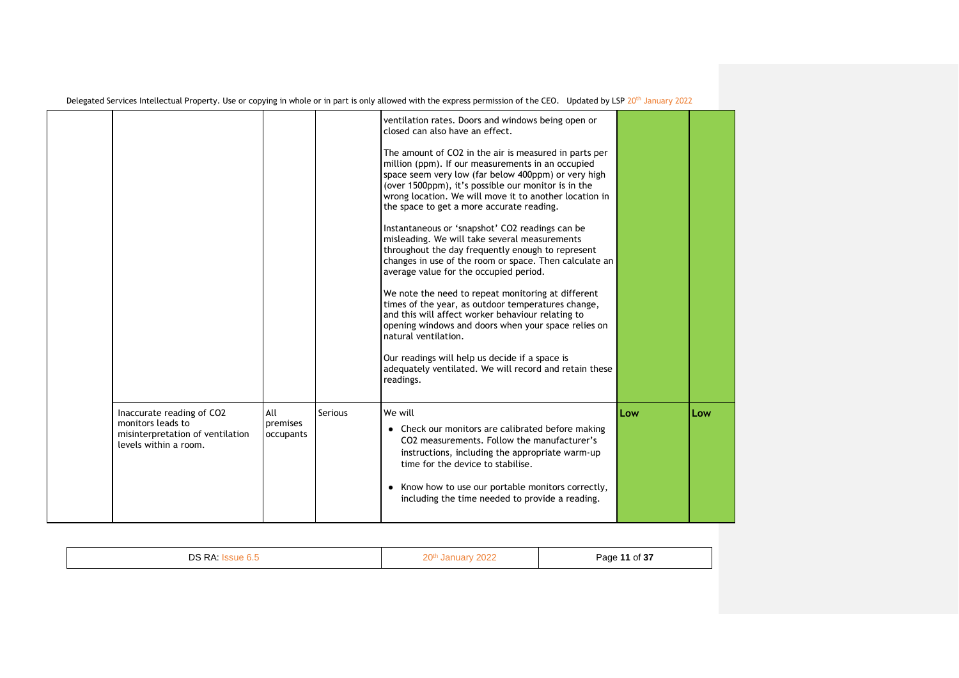|                                                                                                             |                              |                | ventilation rates. Doors and windows being open or<br>closed can also have an effect.<br>The amount of CO2 in the air is measured in parts per<br>million (ppm). If our measurements in an occupied<br>space seem very low (far below 400ppm) or very high<br>(over 1500ppm), it's possible our monitor is in the<br>wrong location. We will move it to another location in<br>the space to get a more accurate reading.<br>Instantaneous or 'snapshot' CO2 readings can be<br>misleading. We will take several measurements<br>throughout the day frequently enough to represent<br>changes in use of the room or space. Then calculate an<br>average value for the occupied period.<br>We note the need to repeat monitoring at different<br>times of the year, as outdoor temperatures change,<br>and this will affect worker behaviour relating to<br>opening windows and doors when your space relies on<br>natural ventilation.<br>Our readings will help us decide if a space is<br>adequately ventilated. We will record and retain these<br>readings. |     |     |
|-------------------------------------------------------------------------------------------------------------|------------------------------|----------------|----------------------------------------------------------------------------------------------------------------------------------------------------------------------------------------------------------------------------------------------------------------------------------------------------------------------------------------------------------------------------------------------------------------------------------------------------------------------------------------------------------------------------------------------------------------------------------------------------------------------------------------------------------------------------------------------------------------------------------------------------------------------------------------------------------------------------------------------------------------------------------------------------------------------------------------------------------------------------------------------------------------------------------------------------------------|-----|-----|
| Inaccurate reading of CO2<br>monitors leads to<br>misinterpretation of ventilation<br>levels within a room. | All<br>premises<br>occupants | <b>Serious</b> | We will<br>• Check our monitors are calibrated before making<br>CO2 measurements. Follow the manufacturer's<br>instructions, including the appropriate warm-up<br>time for the device to stabilise.<br>• Know how to use our portable monitors correctly,<br>including the time needed to provide a reading.                                                                                                                                                                                                                                                                                                                                                                                                                                                                                                                                                                                                                                                                                                                                                   | Low | Low |

| DS RA:<br>`sue b.ະ | 20 <sup>th</sup><br>January 2022 | Page 11 of 37 |
|--------------------|----------------------------------|---------------|
|                    |                                  |               |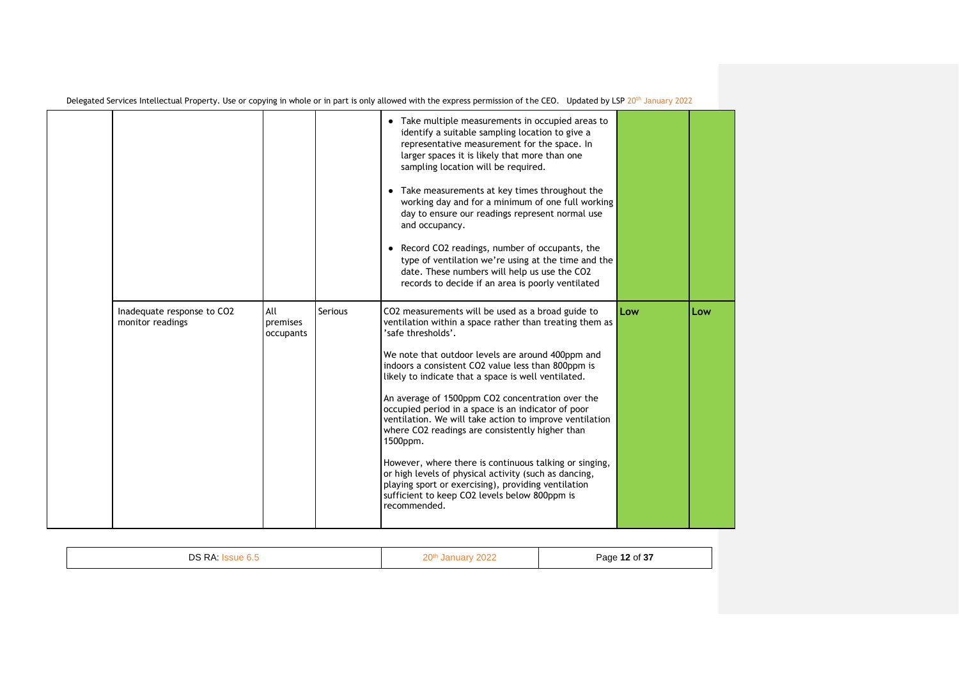|                                                |                              |                | Take multiple measurements in occupied areas to<br>identify a suitable sampling location to give a<br>representative measurement for the space. In<br>larger spaces it is likely that more than one<br>sampling location will be required.<br>• Take measurements at key times throughout the<br>working day and for a minimum of one full working<br>day to ensure our readings represent normal use<br>and occupancy.<br>Record CO2 readings, number of occupants, the<br>type of ventilation we're using at the time and the<br>date. These numbers will help us use the CO2<br>records to decide if an area is poorly ventilated                                                                                                                                                       |     |
|------------------------------------------------|------------------------------|----------------|--------------------------------------------------------------------------------------------------------------------------------------------------------------------------------------------------------------------------------------------------------------------------------------------------------------------------------------------------------------------------------------------------------------------------------------------------------------------------------------------------------------------------------------------------------------------------------------------------------------------------------------------------------------------------------------------------------------------------------------------------------------------------------------------|-----|
| Inadequate response to CO2<br>monitor readings | All<br>premises<br>occupants | <b>Serious</b> | CO2 measurements will be used as a broad guide to<br>Low<br>ventilation within a space rather than treating them as<br>'safe thresholds'.<br>We note that outdoor levels are around 400ppm and<br>indoors a consistent CO2 value less than 800ppm is<br>likely to indicate that a space is well ventilated.<br>An average of 1500ppm CO2 concentration over the<br>occupied period in a space is an indicator of poor<br>ventilation. We will take action to improve ventilation<br>where CO2 readings are consistently higher than<br>1500ppm.<br>However, where there is continuous talking or singing,<br>or high levels of physical activity (such as dancing,<br>playing sport or exercising), providing ventilation<br>sufficient to keep CO2 levels below 800ppm is<br>recommended. | Low |

| $  -$<br>$\cdot$ $\cdot$ |
|--------------------------|
|--------------------------|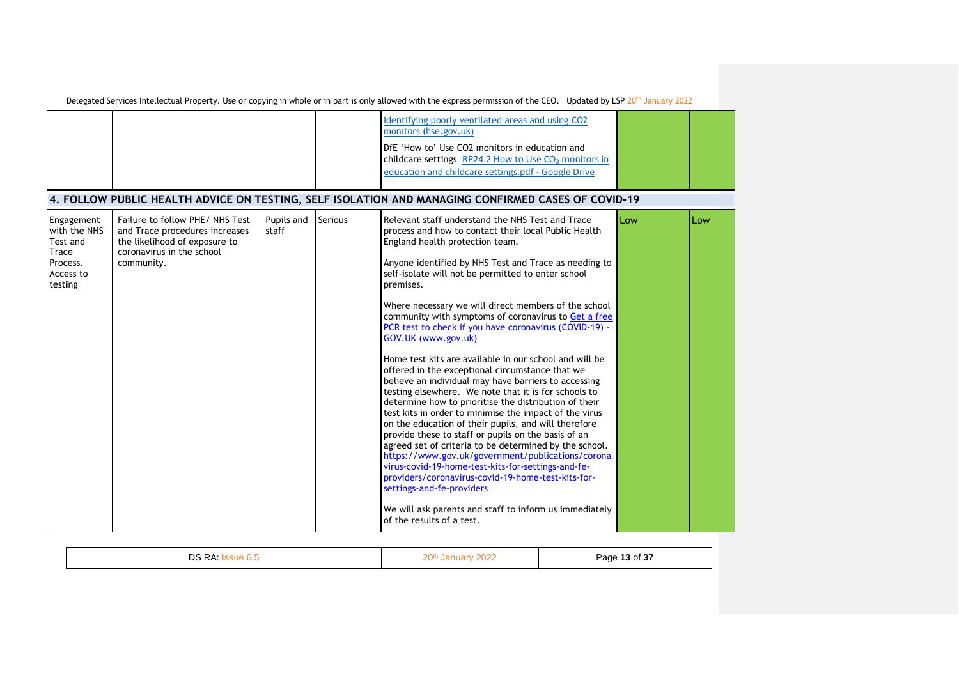|                                                                                     |                                                                                                                                               |                     |                | Identifying poorly ventilated areas and using CO2<br>monitors (hse.gov.uk)<br>DfE 'How to' Use CO2 monitors in education and<br>childcare settings RP24.2 How to Use CO <sub>2</sub> monitors in<br>education and childcare settings.pdf - Google Drive                                                                                                                                                                                                                                                                                                                                                                                                                                                                                                                                                                                                                                                                                                                                                                                                                                                                                                                                                                                                                                |     |     |
|-------------------------------------------------------------------------------------|-----------------------------------------------------------------------------------------------------------------------------------------------|---------------------|----------------|----------------------------------------------------------------------------------------------------------------------------------------------------------------------------------------------------------------------------------------------------------------------------------------------------------------------------------------------------------------------------------------------------------------------------------------------------------------------------------------------------------------------------------------------------------------------------------------------------------------------------------------------------------------------------------------------------------------------------------------------------------------------------------------------------------------------------------------------------------------------------------------------------------------------------------------------------------------------------------------------------------------------------------------------------------------------------------------------------------------------------------------------------------------------------------------------------------------------------------------------------------------------------------------|-----|-----|
|                                                                                     |                                                                                                                                               |                     |                | 4. FOLLOW PUBLIC HEALTH ADVICE ON TESTING, SELF ISOLATION AND MANAGING CONFIRMED CASES OF COVID-19                                                                                                                                                                                                                                                                                                                                                                                                                                                                                                                                                                                                                                                                                                                                                                                                                                                                                                                                                                                                                                                                                                                                                                                     |     |     |
| Engagement<br>with the NHS<br>Test and<br>Trace<br>Process.<br>Access to<br>testing | Failure to follow PHE/ NHS Test<br>and Trace procedures increases<br>the likelihood of exposure to<br>coronavirus in the school<br>community. | Pupils and<br>staff | <b>Serious</b> | Relevant staff understand the NHS Test and Trace<br>process and how to contact their local Public Health<br>England health protection team.<br>Anyone identified by NHS Test and Trace as needing to<br>self-isolate will not be permitted to enter school<br>premises.<br>Where necessary we will direct members of the school<br>community with symptoms of coronavirus to Get a free<br>PCR test to check if you have coronavirus (COVID-19) -<br>GOV.UK (www.gov.uk)<br>Home test kits are available in our school and will be<br>offered in the exceptional circumstance that we<br>believe an individual may have barriers to accessing<br>testing elsewhere. We note that it is for schools to<br>determine how to prioritise the distribution of their<br>test kits in order to minimise the impact of the virus<br>on the education of their pupils, and will therefore<br>provide these to staff or pupils on the basis of an<br>agreed set of criteria to be determined by the school.<br>https://www.gov.uk/government/publications/corona<br>virus-covid-19-home-test-kits-for-settings-and-fe-<br>providers/coronavirus-covid-19-home-test-kits-for-<br>settings-and-fe-providers<br>We will ask parents and staff to inform us immediately<br>of the results of a test. | Low | Low |

|  | ר RA. | 20 <sup>th</sup><br>UZ.<br>ا ہے ۔ | Page 13 of 37 |
|--|-------|-----------------------------------|---------------|
|--|-------|-----------------------------------|---------------|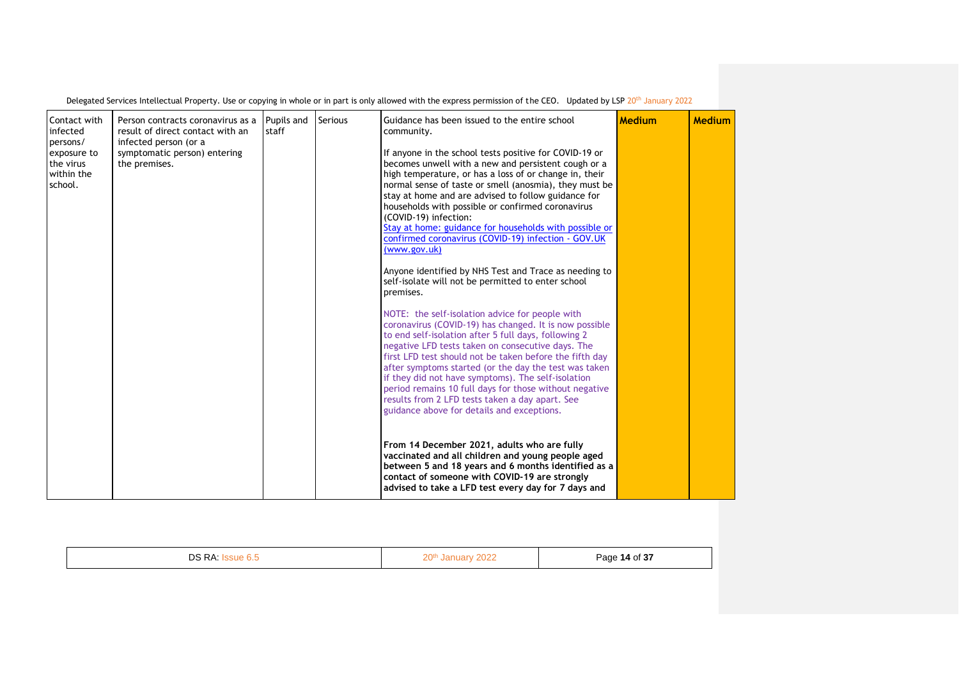| Contact with<br>infected<br>persons/<br>exposure to<br>the virus<br>within the<br>school. | Person contracts coronavirus as a<br>result of direct contact with an<br>infected person (or a<br>symptomatic person) entering<br>the premises. | Pupils and<br>staff | <b>Serious</b> | Guidance has been issued to the entire school<br>community.<br>If anyone in the school tests positive for COVID-19 or<br>becomes unwell with a new and persistent cough or a<br>high temperature, or has a loss of or change in, their<br>normal sense of taste or smell (anosmia), they must be<br>stay at home and are advised to follow guidance for<br>households with possible or confirmed coronavirus<br>(COVID-19) infection:<br>Stay at home: guidance for households with possible or<br>confirmed coronavirus (COVID-19) infection - GOV.UK<br>(www.gov.uk)<br>Anyone identified by NHS Test and Trace as needing to<br>self-isolate will not be permitted to enter school<br>premises.<br>NOTE: the self-isolation advice for people with<br>coronavirus (COVID-19) has changed. It is now possible<br>to end self-isolation after 5 full days, following 2<br>negative LFD tests taken on consecutive days. The<br>first LFD test should not be taken before the fifth day<br>after symptoms started (or the day the test was taken<br>if they did not have symptoms). The self-isolation<br>period remains 10 full days for those without negative<br>results from 2 LFD tests taken a day apart. See<br>guidance above for details and exceptions.<br>From 14 December 2021, adults who are fully<br>vaccinated and all children and young people aged<br>between 5 and 18 years and 6 months identified as a<br>contact of someone with COVID-19 are strongly<br>advised to take a LFD test every day for 7 days and | <b>Medium</b> | Medium |
|-------------------------------------------------------------------------------------------|-------------------------------------------------------------------------------------------------------------------------------------------------|---------------------|----------------|--------------------------------------------------------------------------------------------------------------------------------------------------------------------------------------------------------------------------------------------------------------------------------------------------------------------------------------------------------------------------------------------------------------------------------------------------------------------------------------------------------------------------------------------------------------------------------------------------------------------------------------------------------------------------------------------------------------------------------------------------------------------------------------------------------------------------------------------------------------------------------------------------------------------------------------------------------------------------------------------------------------------------------------------------------------------------------------------------------------------------------------------------------------------------------------------------------------------------------------------------------------------------------------------------------------------------------------------------------------------------------------------------------------------------------------------------------------------------------------------------------------------------------------|---------------|--------|

| DS<br>⋻៱ | 20 <sup>th</sup><br>$-1$<br>____ | $of 2^-$<br>-<br>,,,,,<br><b>AU</b><br>_______<br>$\sim$ |
|----------|----------------------------------|----------------------------------------------------------|
|          |                                  |                                                          |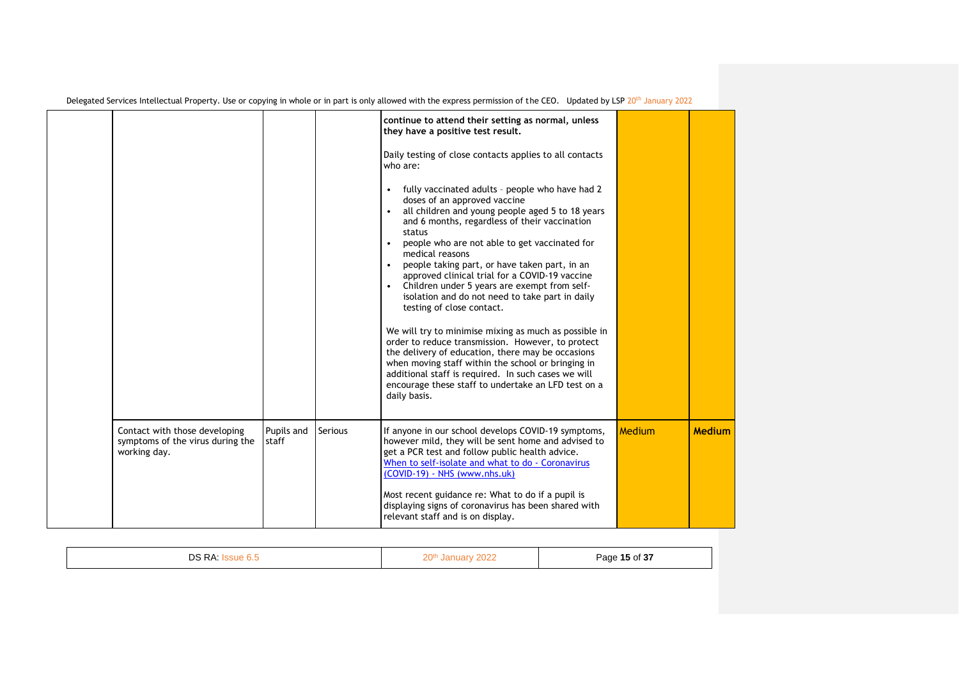|                                                                                   |                     |                | continue to attend their setting as normal, unless                                                                                                                                                                                                                                                                                                                                                                                                                                                                                                                                                                                                                                                                                          |        |               |
|-----------------------------------------------------------------------------------|---------------------|----------------|---------------------------------------------------------------------------------------------------------------------------------------------------------------------------------------------------------------------------------------------------------------------------------------------------------------------------------------------------------------------------------------------------------------------------------------------------------------------------------------------------------------------------------------------------------------------------------------------------------------------------------------------------------------------------------------------------------------------------------------------|--------|---------------|
|                                                                                   |                     |                | they have a positive test result.                                                                                                                                                                                                                                                                                                                                                                                                                                                                                                                                                                                                                                                                                                           |        |               |
|                                                                                   |                     |                | Daily testing of close contacts applies to all contacts<br>who are:                                                                                                                                                                                                                                                                                                                                                                                                                                                                                                                                                                                                                                                                         |        |               |
|                                                                                   |                     |                | fully vaccinated adults - people who have had 2<br>doses of an approved vaccine<br>all children and young people aged 5 to 18 years<br>and 6 months, regardless of their vaccination<br>status<br>people who are not able to get vaccinated for<br>$\bullet$<br>medical reasons<br>people taking part, or have taken part, in an<br>approved clinical trial for a COVID-19 vaccine<br>Children under 5 years are exempt from self-<br>isolation and do not need to take part in daily<br>testing of close contact.<br>We will try to minimise mixing as much as possible in<br>order to reduce transmission. However, to protect<br>the delivery of education, there may be occasions<br>when moving staff within the school or bringing in |        |               |
|                                                                                   |                     |                | additional staff is required. In such cases we will<br>encourage these staff to undertake an LFD test on a<br>daily basis.                                                                                                                                                                                                                                                                                                                                                                                                                                                                                                                                                                                                                  |        |               |
| Contact with those developing<br>symptoms of the virus during the<br>working day. | Pupils and<br>staff | <b>Serious</b> | If anyone in our school develops COVID-19 symptoms,<br>however mild, they will be sent home and advised to<br>get a PCR test and follow public health advice.<br>When to self-isolate and what to do - Coronavirus<br>(COVID-19) - NHS (www.nhs.uk)                                                                                                                                                                                                                                                                                                                                                                                                                                                                                         | Medium | <b>Medium</b> |
|                                                                                   |                     |                | Most recent guidance re: What to do if a pupil is<br>displaying signs of coronavirus has been shared with<br>relevant staff and is on display.                                                                                                                                                                                                                                                                                                                                                                                                                                                                                                                                                                                              |        |               |

|--|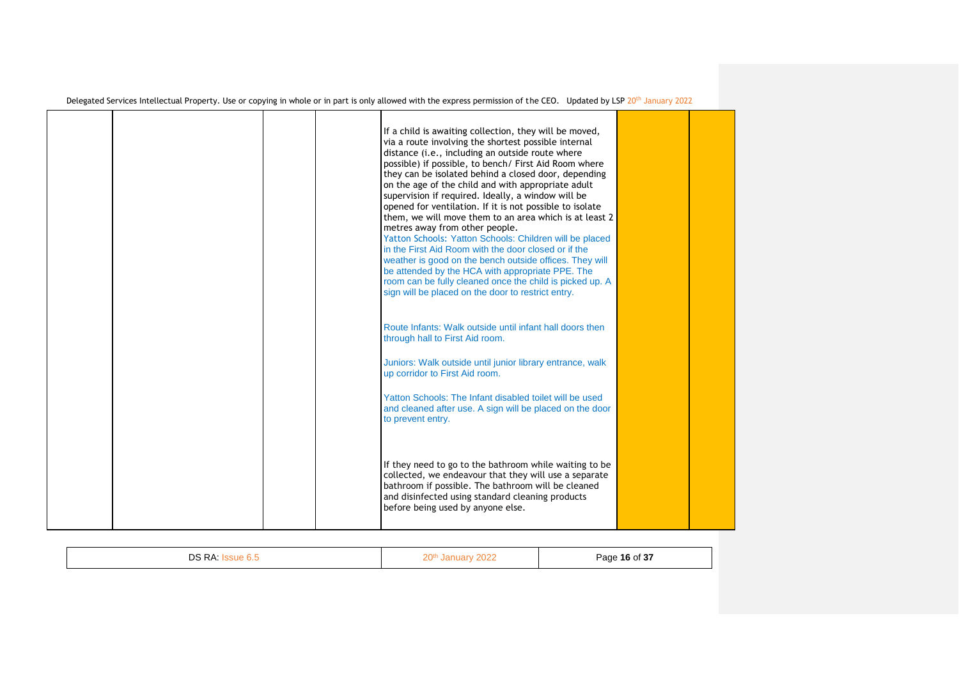| Delegated Services Intellectual Property. Use or copying in whole or in part is only allowed with the express permission of the CEO. Updated by LSP 20 <sup>th</sup> January 2022 |  |  |  |  |  |
|-----------------------------------------------------------------------------------------------------------------------------------------------------------------------------------|--|--|--|--|--|
|-----------------------------------------------------------------------------------------------------------------------------------------------------------------------------------|--|--|--|--|--|

|  |  | If a child is awaiting collection, they will be moved,<br>via a route involving the shortest possible internal<br>distance (i.e., including an outside route where<br>possible) if possible, to bench/ First Aid Room where<br>they can be isolated behind a closed door, depending<br>on the age of the child and with appropriate adult<br>supervision if required. Ideally, a window will be<br>opened for ventilation. If it is not possible to isolate<br>them, we will move them to an area which is at least 2<br>metres away from other people.<br>Yatton Schools: Yatton Schools: Children will be placed<br>in the First Aid Room with the door closed or if the<br>weather is good on the bench outside offices. They will<br>be attended by the HCA with appropriate PPE. The<br>room can be fully cleaned once the child is picked up. A<br>sign will be placed on the door to restrict entry. |  |
|--|--|-------------------------------------------------------------------------------------------------------------------------------------------------------------------------------------------------------------------------------------------------------------------------------------------------------------------------------------------------------------------------------------------------------------------------------------------------------------------------------------------------------------------------------------------------------------------------------------------------------------------------------------------------------------------------------------------------------------------------------------------------------------------------------------------------------------------------------------------------------------------------------------------------------------|--|
|  |  | Route Infants: Walk outside until infant hall doors then<br>through hall to First Aid room.<br>Juniors: Walk outside until junior library entrance, walk<br>up corridor to First Aid room.<br>Yatton Schools: The Infant disabled toilet will be used<br>and cleaned after use. A sign will be placed on the door<br>to prevent entry.                                                                                                                                                                                                                                                                                                                                                                                                                                                                                                                                                                      |  |
|  |  | If they need to go to the bathroom while waiting to be<br>collected, we endeavour that they will use a separate<br>bathroom if possible. The bathroom will be cleaned<br>and disinfected using standard cleaning products<br>before being used by anyone else.                                                                                                                                                                                                                                                                                                                                                                                                                                                                                                                                                                                                                                              |  |

| $\sim$ $\sim$<br>ne.<br>. .<br>◡ | $\bigcap_{n\in\mathbb{N}}$<br>⁄ \ J ⁄ | $\epsilon$ or<br>- 16<br>Page<br>∩t<br>-51<br>.<br>$\sim$ |
|----------------------------------|---------------------------------------|-----------------------------------------------------------|
|----------------------------------|---------------------------------------|-----------------------------------------------------------|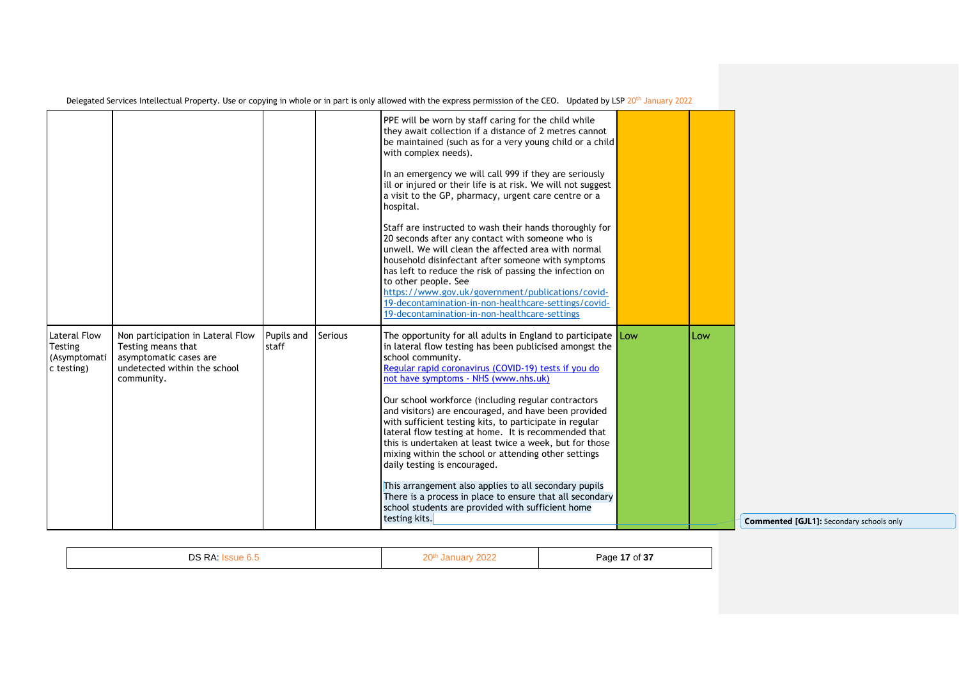| Delegated Services Intellectual Property. Use or copying in whole or in part is only allowed with the express permission of the CEO. Updated by LSP 20 <sup>th</sup> January 2022 |  |  |  |  |
|-----------------------------------------------------------------------------------------------------------------------------------------------------------------------------------|--|--|--|--|
|-----------------------------------------------------------------------------------------------------------------------------------------------------------------------------------|--|--|--|--|

|                                                       |                                                                                                                                 |                     |                | PPE will be worn by staff caring for the child while<br>they await collection if a distance of 2 metres cannot<br>be maintained (such as for a very young child or a child<br>with complex needs).<br>In an emergency we will call 999 if they are seriously<br>ill or injured or their life is at risk. We will not suggest<br>a visit to the GP, pharmacy, urgent care centre or a<br>hospital.<br>Staff are instructed to wash their hands thoroughly for<br>20 seconds after any contact with someone who is<br>unwell. We will clean the affected area with normal<br>household disinfectant after someone with symptoms<br>has left to reduce the risk of passing the infection on<br>to other people. See<br>https://www.gov.uk/government/publications/covid-<br>19-decontamination-in-non-healthcare-settings/covid-<br>19-decontamination-in-non-healthcare-settings |     |     |                                  |
|-------------------------------------------------------|---------------------------------------------------------------------------------------------------------------------------------|---------------------|----------------|--------------------------------------------------------------------------------------------------------------------------------------------------------------------------------------------------------------------------------------------------------------------------------------------------------------------------------------------------------------------------------------------------------------------------------------------------------------------------------------------------------------------------------------------------------------------------------------------------------------------------------------------------------------------------------------------------------------------------------------------------------------------------------------------------------------------------------------------------------------------------------|-----|-----|----------------------------------|
| Lateral Flow<br>Testing<br>(Asymptomati<br>c testing) | Non participation in Lateral Flow<br>Testing means that<br>asymptomatic cases are<br>undetected within the school<br>community. | Pupils and<br>staff | <b>Serious</b> | The opportunity for all adults in England to participate<br>in lateral flow testing has been publicised amongst the<br>school community.<br>Regular rapid coronavirus (COVID-19) tests if you do<br>not have symptoms - NHS (www.nhs.uk)<br>Our school workforce (including regular contractors<br>and visitors) are encouraged, and have been provided<br>with sufficient testing kits, to participate in regular<br>lateral flow testing at home. It is recommended that<br>this is undertaken at least twice a week, but for those<br>mixing within the school or attending other settings<br>daily testing is encouraged.<br>This arrangement also applies to all secondary pupils<br>There is a process in place to ensure that all secondary<br>school students are provided with sufficient home<br>testing kits.                                                       | Low | Low | <b>Commented [GJL1]: Seconda</b> |

| DS RA: | 20 <sup>th</sup> January,<br>2022 | Page 17 of 37 |
|--------|-----------------------------------|---------------|
|--------|-----------------------------------|---------------|

**Commented [GJL1]:** Secondary schools only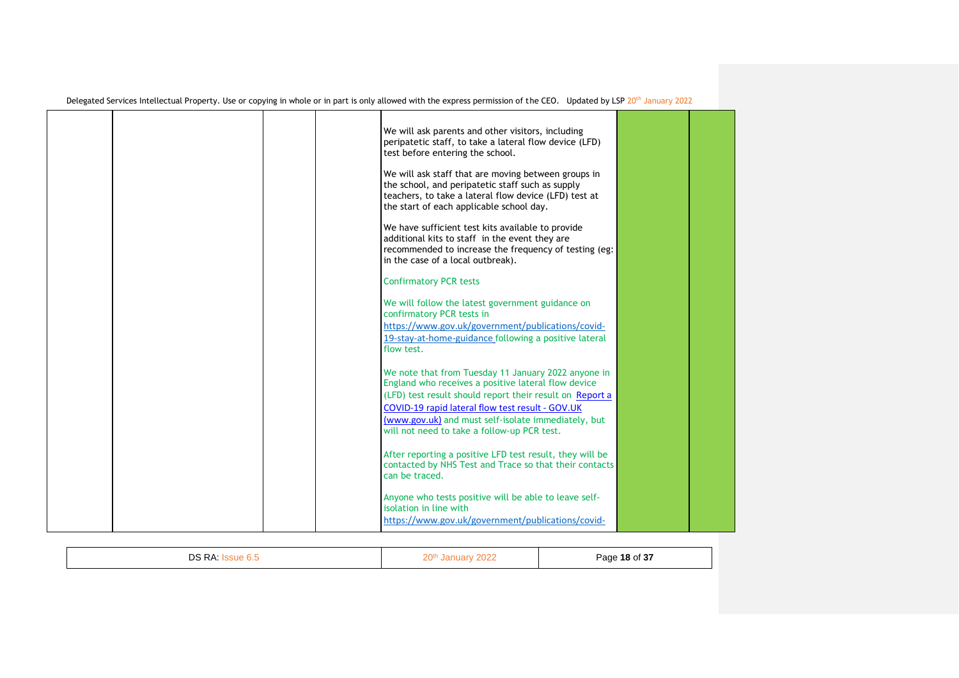| Delegated Services Intellectual Property. Use or copying in whole or in part is only allowed with the express permission of the CEO. Updated by LSP 20 <sup>th</sup> January 2022 |  |  |  |  |
|-----------------------------------------------------------------------------------------------------------------------------------------------------------------------------------|--|--|--|--|
|-----------------------------------------------------------------------------------------------------------------------------------------------------------------------------------|--|--|--|--|

|  |  | We will ask parents and other visitors, including<br>peripatetic staff, to take a lateral flow device (LFD)<br>test before entering the school.                                                                            |  |
|--|--|----------------------------------------------------------------------------------------------------------------------------------------------------------------------------------------------------------------------------|--|
|  |  | We will ask staff that are moving between groups in<br>the school, and peripatetic staff such as supply<br>teachers, to take a lateral flow device (LFD) test at<br>the start of each applicable school day.               |  |
|  |  | We have sufficient test kits available to provide<br>additional kits to staff in the event they are<br>recommended to increase the frequency of testing (eg:<br>in the case of a local outbreak).                          |  |
|  |  | <b>Confirmatory PCR tests</b>                                                                                                                                                                                              |  |
|  |  | We will follow the latest government guidance on<br>confirmatory PCR tests in<br>https://www.gov.uk/government/publications/covid-                                                                                         |  |
|  |  | 19-stay-at-home-guidance following a positive lateral<br>flow test.                                                                                                                                                        |  |
|  |  | We note that from Tuesday 11 January 2022 anyone in<br>England who receives a positive lateral flow device<br>(LFD) test result should report their result on Report a<br>COVID-19 rapid lateral flow test result - GOV.UK |  |
|  |  | (www.gov.uk) and must self-isolate immediately, but<br>will not need to take a follow-up PCR test.                                                                                                                         |  |
|  |  | After reporting a positive LFD test result, they will be<br>contacted by NHS Test and Trace so that their contacts<br>can be traced.                                                                                       |  |
|  |  | Anyone who tests positive will be able to leave self-<br>isolation in line with<br>https://www.gov.uk/government/publications/covid-                                                                                       |  |

| פח<br>D <sub>A</sub><br>◡<br> | $\bigcap_{n\in\mathbb{N}}$<br>$\sim$<br>ZU. | .007<br>18 ∩f<br>⊃ane<br>-51 |
|-------------------------------|---------------------------------------------|------------------------------|
|-------------------------------|---------------------------------------------|------------------------------|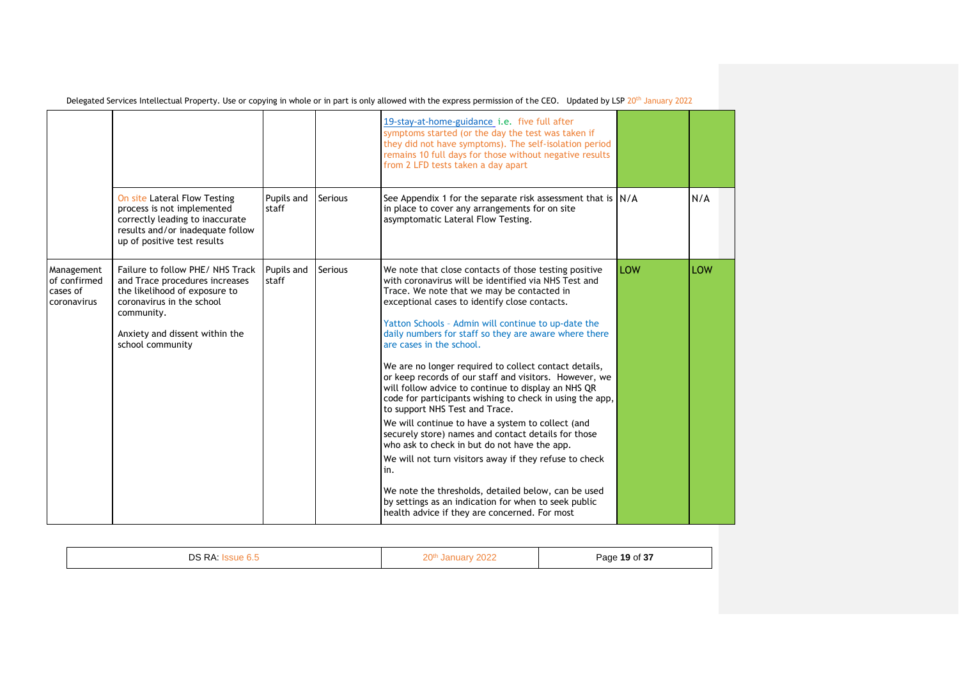|                                                       |                                                                                                                                                                                                     |                     |                | 19-stay-at-home-guidance i.e. five full after<br>symptoms started (or the day the test was taken if<br>they did not have symptoms). The self-isolation period<br>remains 10 full days for those without negative results<br>from 2 LFD tests taken a day apart                                                                                                                                                                                                                                                                                                                                                                                                                                                                                                                                                                                                                                                                                                                                                                |     |     |
|-------------------------------------------------------|-----------------------------------------------------------------------------------------------------------------------------------------------------------------------------------------------------|---------------------|----------------|-------------------------------------------------------------------------------------------------------------------------------------------------------------------------------------------------------------------------------------------------------------------------------------------------------------------------------------------------------------------------------------------------------------------------------------------------------------------------------------------------------------------------------------------------------------------------------------------------------------------------------------------------------------------------------------------------------------------------------------------------------------------------------------------------------------------------------------------------------------------------------------------------------------------------------------------------------------------------------------------------------------------------------|-----|-----|
|                                                       | On site Lateral Flow Testing<br>process is not implemented<br>correctly leading to inaccurate<br>results and/or inadequate follow<br>up of positive test results                                    | Pupils and<br>staff | <b>Serious</b> | See Appendix 1 for the separate risk assessment that is $N/A$<br>in place to cover any arrangements for on site<br>asymptomatic Lateral Flow Testing.                                                                                                                                                                                                                                                                                                                                                                                                                                                                                                                                                                                                                                                                                                                                                                                                                                                                         |     | N/A |
| Management<br>of confirmed<br>cases of<br>coronavirus | Failure to follow PHE/NHS Track<br>and Trace procedures increases<br>the likelihood of exposure to<br>coronavirus in the school<br>community.<br>Anxiety and dissent within the<br>school community | Pupils and<br>staff | <b>Serious</b> | We note that close contacts of those testing positive<br>with coronavirus will be identified via NHS Test and<br>Trace. We note that we may be contacted in<br>exceptional cases to identify close contacts.<br>Yatton Schools - Admin will continue to up-date the<br>daily numbers for staff so they are aware where there<br>are cases in the school.<br>We are no longer required to collect contact details,<br>or keep records of our staff and visitors. However, we<br>will follow advice to continue to display an NHS QR<br>code for participants wishing to check in using the app,<br>to support NHS Test and Trace.<br>We will continue to have a system to collect (and<br>securely store) names and contact details for those<br>who ask to check in but do not have the app.<br>We will not turn visitors away if they refuse to check<br>in.<br>We note the thresholds, detailed below, can be used<br>by settings as an indication for when to seek public<br>health advice if they are concerned. For most | LOW | LOW |

|--|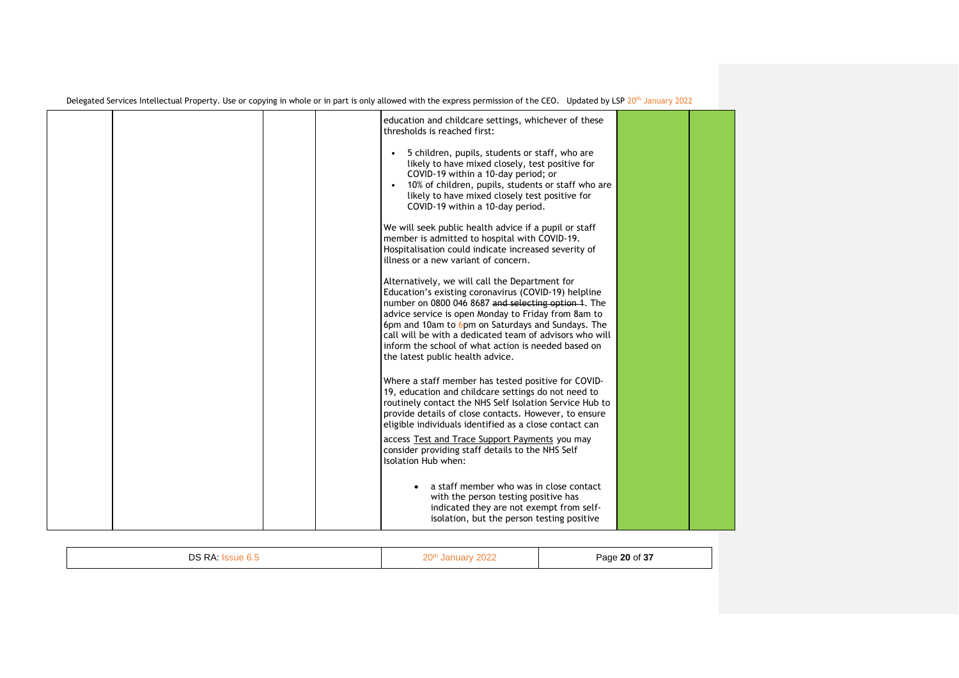|  |  | education and childcare settings, whichever of these<br>thresholds is reached first:<br>5 children, pupils, students or staff, who are<br>likely to have mixed closely, test positive for                                                                                                                                                                                                                                       |  |
|--|--|---------------------------------------------------------------------------------------------------------------------------------------------------------------------------------------------------------------------------------------------------------------------------------------------------------------------------------------------------------------------------------------------------------------------------------|--|
|  |  | COVID-19 within a 10-day period; or<br>10% of children, pupils, students or staff who are<br>likely to have mixed closely test positive for<br>COVID-19 within a 10-day period.                                                                                                                                                                                                                                                 |  |
|  |  | We will seek public health advice if a pupil or staff<br>member is admitted to hospital with COVID-19.<br>Hospitalisation could indicate increased severity of<br>illness or a new variant of concern.                                                                                                                                                                                                                          |  |
|  |  | Alternatively, we will call the Department for<br>Education's existing coronavirus (COVID-19) helpline<br>number on 0800 046 8687 and selecting option 1. The<br>advice service is open Monday to Friday from 8am to<br>6pm and 10am to 6pm on Saturdays and Sundays. The<br>call will be with a dedicated team of advisors who will<br>inform the school of what action is needed based on<br>the latest public health advice. |  |
|  |  | Where a staff member has tested positive for COVID-<br>19, education and childcare settings do not need to<br>routinely contact the NHS Self Isolation Service Hub to<br>provide details of close contacts. However, to ensure<br>eligible individuals identified as a close contact can                                                                                                                                        |  |
|  |  | access Test and Trace Support Payments you may<br>consider providing staff details to the NHS Self<br>Isolation Hub when:                                                                                                                                                                                                                                                                                                       |  |
|  |  | a staff member who was in close contact<br>with the person testing positive has<br>indicated they are not exempt from self-<br>isolation, but the person testing positive                                                                                                                                                                                                                                                       |  |

| DS RA:<br>٦ue b.ಒ | 0000<br>ว∩th⊹<br>12N<br>2022<br>ZU'''<br>$ -$ | Page 20 of 37 |
|-------------------|-----------------------------------------------|---------------|
|                   |                                               |               |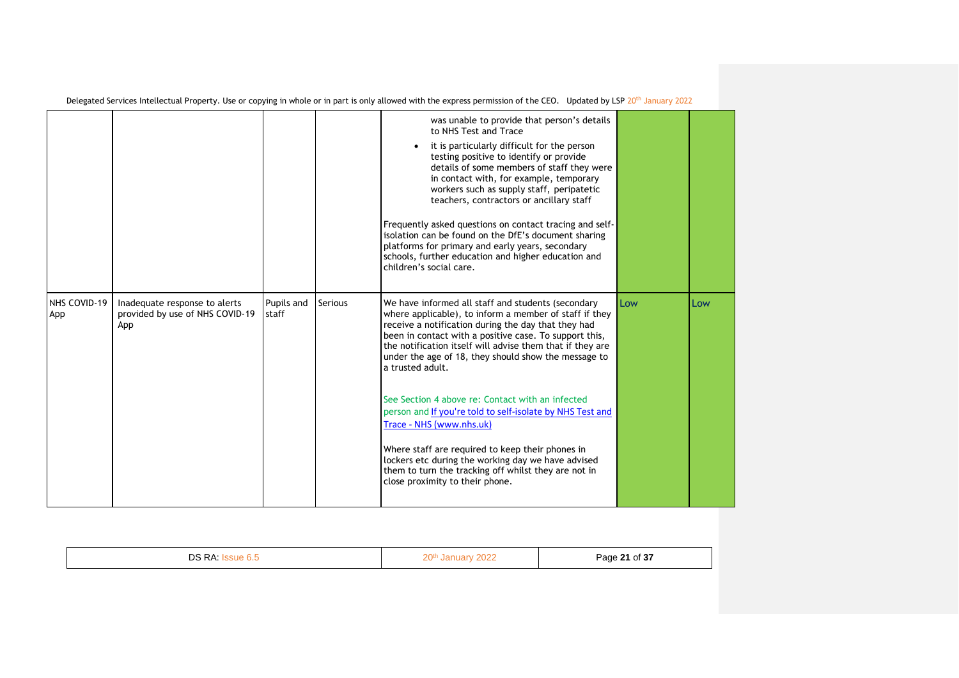|                     |                                                                         |                     |                | was unable to provide that person's details<br>to NHS Test and Trace<br>it is particularly difficult for the person<br>testing positive to identify or provide<br>details of some members of staff they were<br>in contact with, for example, temporary<br>workers such as supply staff, peripatetic<br>teachers, contractors or ancillary staff<br>Frequently asked questions on contact tracing and self-<br>isolation can be found on the DfE's document sharing<br>platforms for primary and early years, secondary<br>schools, further education and higher education and<br>children's social care.                                                                                                                |     |     |
|---------------------|-------------------------------------------------------------------------|---------------------|----------------|--------------------------------------------------------------------------------------------------------------------------------------------------------------------------------------------------------------------------------------------------------------------------------------------------------------------------------------------------------------------------------------------------------------------------------------------------------------------------------------------------------------------------------------------------------------------------------------------------------------------------------------------------------------------------------------------------------------------------|-----|-----|
| NHS COVID-19<br>App | Inadequate response to alerts<br>provided by use of NHS COVID-19<br>App | Pupils and<br>staff | <b>Serious</b> | We have informed all staff and students (secondary<br>where applicable), to inform a member of staff if they<br>receive a notification during the day that they had<br>been in contact with a positive case. To support this,<br>the notification itself will advise them that if they are<br>under the age of 18, they should show the message to<br>a trusted adult.<br>See Section 4 above re: Contact with an infected<br>person and If you're told to self-isolate by NHS Test and<br>Trace - NHS (www.nhs.uk)<br>Where staff are required to keep their phones in<br>lockers etc during the working day we have advised<br>them to turn the tracking off whilst they are not in<br>close proximity to their phone. | Low | Low |

| DR PA | ว∩th<br>$  -$ | Page 21 of 37<br>$     -$<br>- - - |
|-------|---------------|------------------------------------|
|       |               |                                    |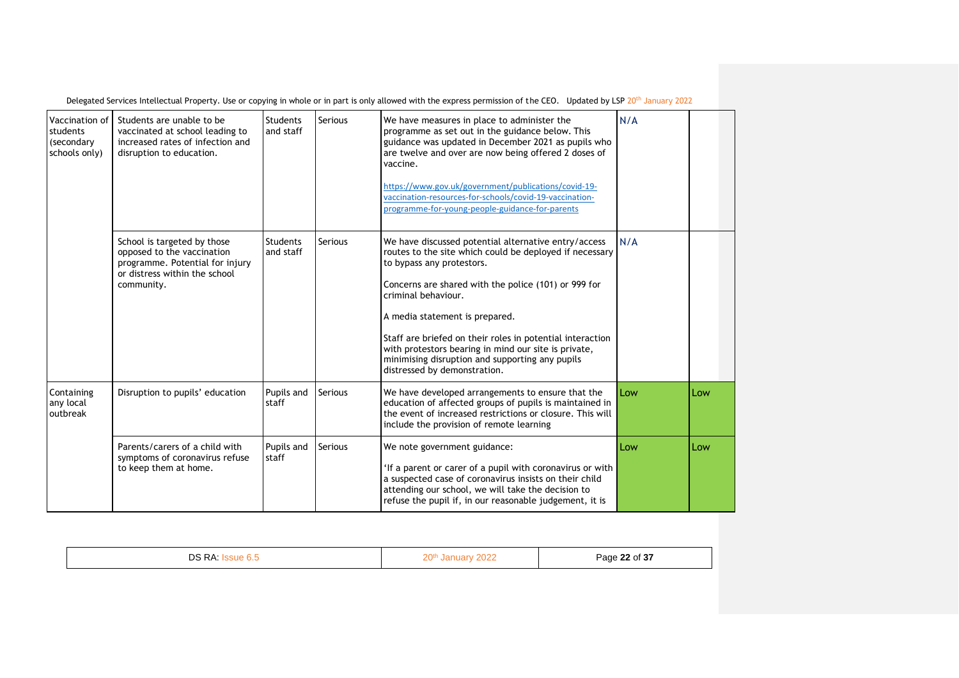| Vaccination of<br>students<br>(secondary<br>schools only) | Students are unable to be<br>vaccinated at school leading to<br>increased rates of infection and<br>disruption to education.                | Students<br>and staff        | <b>Serious</b> | We have measures in place to administer the<br>programme as set out in the guidance below. This<br>guidance was updated in December 2021 as pupils who<br>are twelve and over are now being offered 2 doses of<br>vaccine.<br>https://www.gov.uk/government/publications/covid-19-<br>vaccination-resources-for-schools/covid-19-vaccination-<br>programme-for-young-people-guidance-for-parents                                                                      | N/A |     |
|-----------------------------------------------------------|---------------------------------------------------------------------------------------------------------------------------------------------|------------------------------|----------------|-----------------------------------------------------------------------------------------------------------------------------------------------------------------------------------------------------------------------------------------------------------------------------------------------------------------------------------------------------------------------------------------------------------------------------------------------------------------------|-----|-----|
|                                                           | School is targeted by those<br>opposed to the vaccination<br>programme. Potential for injury<br>or distress within the school<br>community. | <b>Students</b><br>and staff | Serious        | We have discussed potential alternative entry/access<br>routes to the site which could be deployed if necessary<br>to bypass any protestors.<br>Concerns are shared with the police (101) or 999 for<br>criminal behaviour.<br>A media statement is prepared.<br>Staff are briefed on their roles in potential interaction<br>with protestors bearing in mind our site is private,<br>minimising disruption and supporting any pupils<br>distressed by demonstration. | N/A |     |
| Containing<br>any local<br>outbreak                       | Disruption to pupils' education                                                                                                             | Pupils and<br>staff          | <b>Serious</b> | We have developed arrangements to ensure that the<br>education of affected groups of pupils is maintained in<br>the event of increased restrictions or closure. This will<br>include the provision of remote learning                                                                                                                                                                                                                                                 | Low | Low |
|                                                           | Parents/carers of a child with<br>symptoms of coronavirus refuse<br>to keep them at home.                                                   | Pupils and<br>staff          | <b>Serious</b> | We note government guidance:<br>'If a parent or carer of a pupil with coronavirus or with<br>a suspected case of coronavirus insists on their child<br>attending our school, we will take the decision to<br>refuse the pupil if, in our reasonable judgement, it is                                                                                                                                                                                                  | Low | Low |

| Page 22 of 37<br>11 I<br>--<br>____ |
|-------------------------------------|
|-------------------------------------|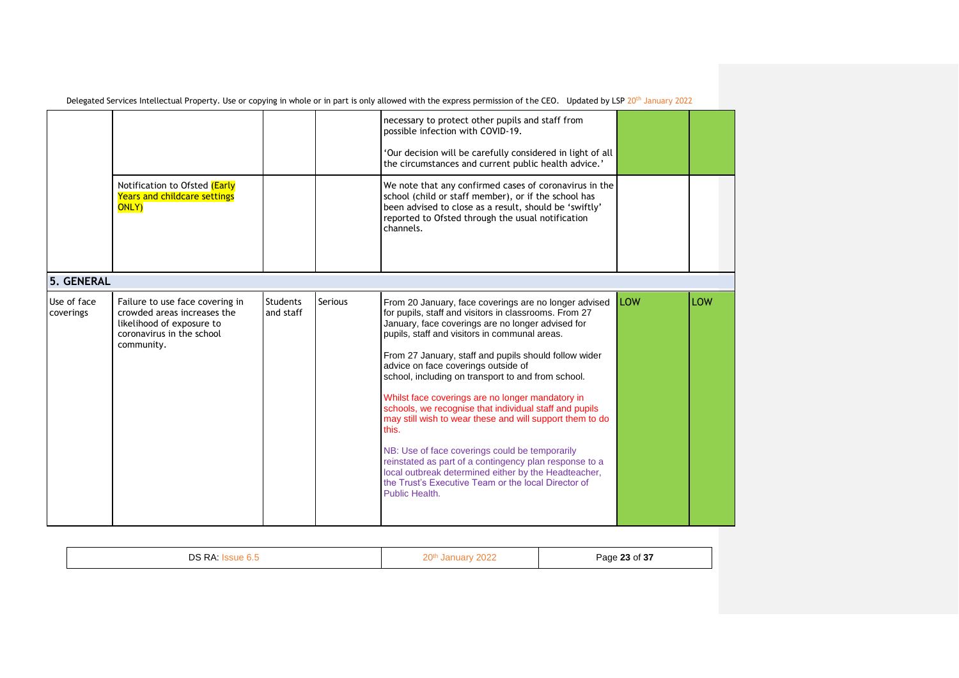|                          | Notification to Ofsted (Early                                                                                                          |                              |         | necessary to protect other pupils and staff from<br>possible infection with COVID-19.<br>'Our decision will be carefully considered in light of all<br>the circumstances and current public health advice.'<br>We note that any confirmed cases of coronavirus in the                                                                                                                                                                                                                                                                                                                                                                                                                                                                                                                                      |             |     |
|--------------------------|----------------------------------------------------------------------------------------------------------------------------------------|------------------------------|---------|------------------------------------------------------------------------------------------------------------------------------------------------------------------------------------------------------------------------------------------------------------------------------------------------------------------------------------------------------------------------------------------------------------------------------------------------------------------------------------------------------------------------------------------------------------------------------------------------------------------------------------------------------------------------------------------------------------------------------------------------------------------------------------------------------------|-------------|-----|
|                          | <b>Years and childcare settings</b><br><b>ONLY)</b>                                                                                    |                              |         | school (child or staff member), or if the school has<br>been advised to close as a result, should be 'swiftly'<br>reported to Ofsted through the usual notification<br>channels.                                                                                                                                                                                                                                                                                                                                                                                                                                                                                                                                                                                                                           |             |     |
| 5. GENERAL               |                                                                                                                                        |                              |         |                                                                                                                                                                                                                                                                                                                                                                                                                                                                                                                                                                                                                                                                                                                                                                                                            |             |     |
| Use of face<br>coverings | Failure to use face covering in<br>crowded areas increases the<br>likelihood of exposure to<br>coronavirus in the school<br>community. | <b>Students</b><br>and staff | Serious | From 20 January, face coverings are no longer advised<br>for pupils, staff and visitors in classrooms. From 27<br>January, face coverings are no longer advised for<br>pupils, staff and visitors in communal areas.<br>From 27 January, staff and pupils should follow wider<br>advice on face coverings outside of<br>school, including on transport to and from school.<br>Whilst face coverings are no longer mandatory in<br>schools, we recognise that individual staff and pupils<br>may still wish to wear these and will support them to do<br>this.<br>NB: Use of face coverings could be temporarily<br>reinstated as part of a contingency plan response to a<br>local outbreak determined either by the Headteacher,<br>the Trust's Executive Team or the local Director of<br>Public Health. | <b>ILOW</b> | LOW |

| <b>D</b><br>DS<br><b>RA</b> | ว∩t<br>ZU | Page 23 of 37<br>$\overline{\phantom{a}}$ |
|-----------------------------|-----------|-------------------------------------------|
|                             |           |                                           |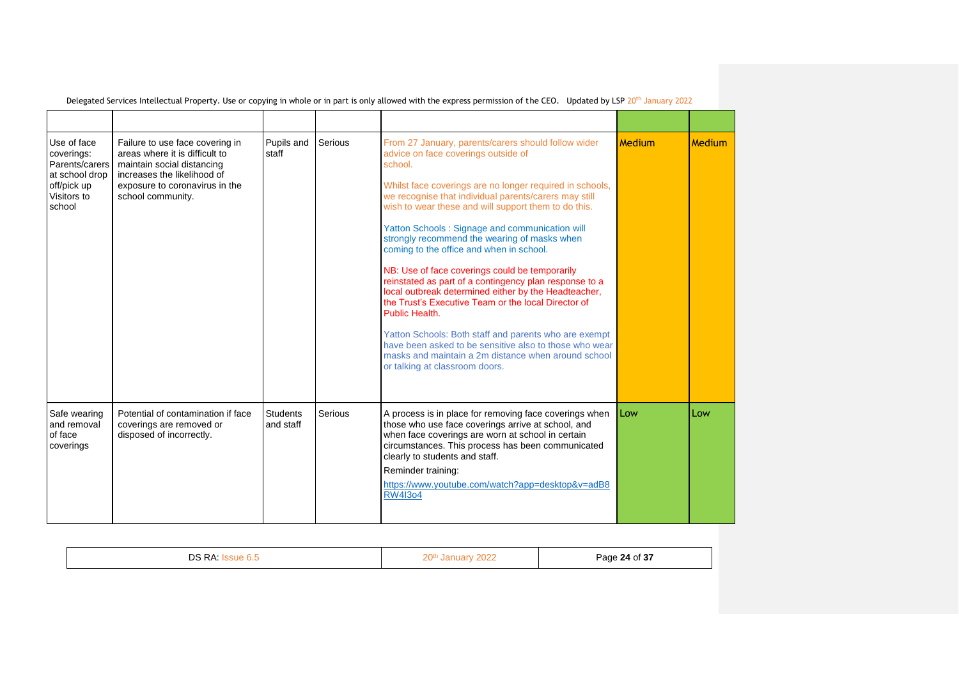| Use of face<br>coverings:<br>Parents/carers<br>at school drop<br>off/pick up<br>Visitors to<br>school | Failure to use face covering in<br>areas where it is difficult to<br>maintain social distancing<br>increases the likelihood of<br>exposure to coronavirus in the<br>school community. | Pupils and<br>staff          | Serious | From 27 January, parents/carers should follow wider<br>advice on face coverings outside of<br>school.<br>Whilst face coverings are no longer required in schools,<br>we recognise that individual parents/carers may still<br>wish to wear these and will support them to do this.<br>Yatton Schools: Signage and communication will<br>strongly recommend the wearing of masks when<br>coming to the office and when in school.<br>NB: Use of face coverings could be temporarily<br>reinstated as part of a contingency plan response to a<br>local outbreak determined either by the Headteacher,<br>the Trust's Executive Team or the local Director of<br>Public Health.<br>Yatton Schools: Both staff and parents who are exempt<br>have been asked to be sensitive also to those who wear<br>masks and maintain a 2m distance when around school<br>or talking at classroom doors. | Medium | Medium |
|-------------------------------------------------------------------------------------------------------|---------------------------------------------------------------------------------------------------------------------------------------------------------------------------------------|------------------------------|---------|-------------------------------------------------------------------------------------------------------------------------------------------------------------------------------------------------------------------------------------------------------------------------------------------------------------------------------------------------------------------------------------------------------------------------------------------------------------------------------------------------------------------------------------------------------------------------------------------------------------------------------------------------------------------------------------------------------------------------------------------------------------------------------------------------------------------------------------------------------------------------------------------|--------|--------|
| Safe wearing<br>and removal<br>of face<br>coverings                                                   | Potential of contamination if face<br>coverings are removed or<br>disposed of incorrectly.                                                                                            | <b>Students</b><br>and staff | Serious | A process is in place for removing face coverings when<br>those who use face coverings arrive at school, and<br>when face coverings are worn at school in certain<br>circumstances. This process has been communicated<br>clearly to students and staff.<br>Reminder training:<br>https://www.youtube.com/watch?app=desktop&y=adB8<br><b>RW4I3o4</b>                                                                                                                                                                                                                                                                                                                                                                                                                                                                                                                                      | Low    | Low    |

| פר<br><b>KF</b> | $\sim$ $\sim$ $\sim$ $\sim$ | Page 24 of 37<br>$   -$<br>ີ |
|-----------------|-----------------------------|------------------------------|
|                 |                             |                              |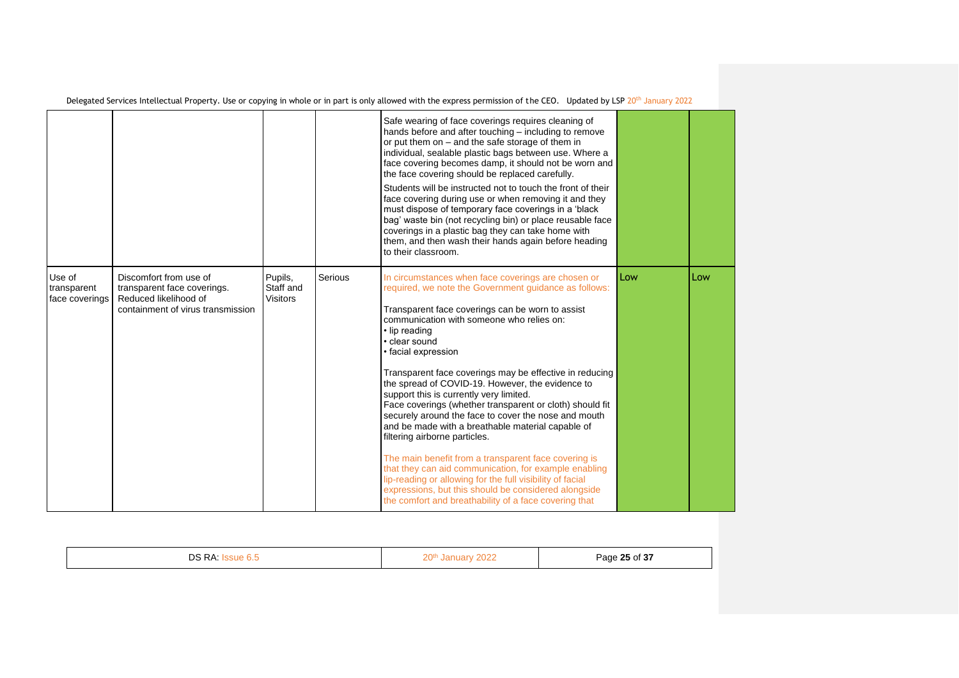|                                         |                                                                                                                     |                                         |         | Safe wearing of face coverings requires cleaning of<br>hands before and after touching – including to remove<br>or put them on - and the safe storage of them in<br>individual, sealable plastic bags between use. Where a<br>face covering becomes damp, it should not be worn and<br>the face covering should be replaced carefully.<br>Students will be instructed not to touch the front of their<br>face covering during use or when removing it and they<br>must dispose of temporary face coverings in a 'black<br>bag' waste bin (not recycling bin) or place reusable face<br>coverings in a plastic bag they can take home with<br>them, and then wash their hands again before heading<br>to their classroom.                                                                                                                                                                                                                 |     |     |
|-----------------------------------------|---------------------------------------------------------------------------------------------------------------------|-----------------------------------------|---------|------------------------------------------------------------------------------------------------------------------------------------------------------------------------------------------------------------------------------------------------------------------------------------------------------------------------------------------------------------------------------------------------------------------------------------------------------------------------------------------------------------------------------------------------------------------------------------------------------------------------------------------------------------------------------------------------------------------------------------------------------------------------------------------------------------------------------------------------------------------------------------------------------------------------------------------|-----|-----|
| Use of<br>transparent<br>face coverings | Discomfort from use of<br>transparent face coverings.<br>Reduced likelihood of<br>containment of virus transmission | Pupils,<br>Staff and<br><b>Visitors</b> | Serious | In circumstances when face coverings are chosen or<br>required, we note the Government quidance as follows:<br>Transparent face coverings can be worn to assist<br>communication with someone who relies on:<br>• lip reading<br>• clear sound<br>• facial expression<br>Transparent face coverings may be effective in reducing<br>the spread of COVID-19. However, the evidence to<br>support this is currently very limited.<br>Face coverings (whether transparent or cloth) should fit<br>securely around the face to cover the nose and mouth<br>and be made with a breathable material capable of<br>filtering airborne particles.<br>The main benefit from a transparent face covering is<br>that they can aid communication, for example enabling<br>lip-reading or allowing for the full visibility of facial<br>expressions, but this should be considered alongside<br>the comfort and breathability of a face covering that | Low | Low |

|  | $\bigcap$ $\bigcap$ $\bigcup$<br>w<br>__ | $\sim$<br>$\mathbf{A}$<br>محد<br>$\sim$ |
|--|------------------------------------------|-----------------------------------------|
|--|------------------------------------------|-----------------------------------------|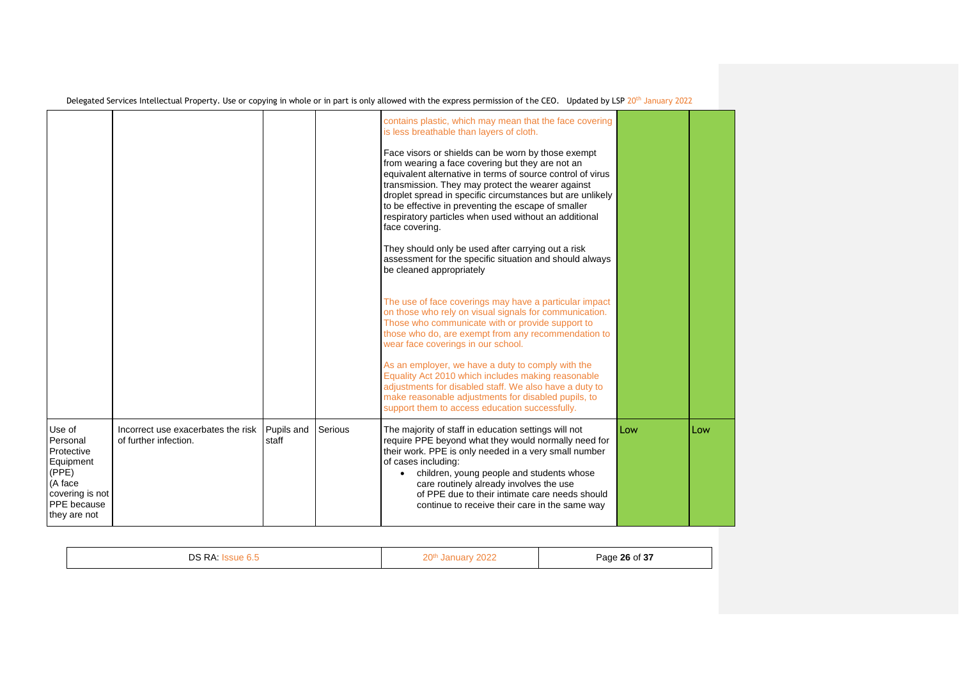|                                                                                                                     |                                                             |                     |         | contains plastic, which may mean that the face covering<br>is less breathable than layers of cloth.<br>Face visors or shields can be worn by those exempt<br>from wearing a face covering but they are not an<br>equivalent alternative in terms of source control of virus<br>transmission. They may protect the wearer against<br>droplet spread in specific circumstances but are unlikely<br>to be effective in preventing the escape of smaller<br>respiratory particles when used without an additional<br>face covering.<br>They should only be used after carrying out a risk<br>assessment for the specific situation and should always<br>be cleaned appropriately<br>The use of face coverings may have a particular impact<br>on those who rely on visual signals for communication.<br>Those who communicate with or provide support to<br>those who do, are exempt from any recommendation to<br>wear face coverings in our school.<br>As an employer, we have a duty to comply with the<br>Equality Act 2010 which includes making reasonable<br>adjustments for disabled staff. We also have a duty to<br>make reasonable adjustments for disabled pupils, to<br>support them to access education successfully. |     |     |
|---------------------------------------------------------------------------------------------------------------------|-------------------------------------------------------------|---------------------|---------|---------------------------------------------------------------------------------------------------------------------------------------------------------------------------------------------------------------------------------------------------------------------------------------------------------------------------------------------------------------------------------------------------------------------------------------------------------------------------------------------------------------------------------------------------------------------------------------------------------------------------------------------------------------------------------------------------------------------------------------------------------------------------------------------------------------------------------------------------------------------------------------------------------------------------------------------------------------------------------------------------------------------------------------------------------------------------------------------------------------------------------------------------------------------------------------------------------------------------------|-----|-----|
| Use of<br>Personal<br>Protective<br>Equipment<br>(PPE)<br>(A face<br>covering is not<br>PPE because<br>they are not | Incorrect use exacerbates the risk<br>of further infection. | Pupils and<br>staff | Serious | The majority of staff in education settings will not<br>require PPE beyond what they would normally need for<br>their work. PPE is only needed in a very small number<br>of cases including:<br>children, young people and students whose<br>$\bullet$<br>care routinely already involves the use<br>of PPE due to their intimate care needs should<br>continue to receive their care in the same way                                                                                                                                                                                                                                                                                                                                                                                                                                                                                                                                                                                                                                                                                                                                                                                                                           | Low | Low |

|  | DΛ<br>∍∼<br>◡ | . . | Page 26 of 37<br>.<br>$\sim$ |
|--|---------------|-----|------------------------------|
|--|---------------|-----|------------------------------|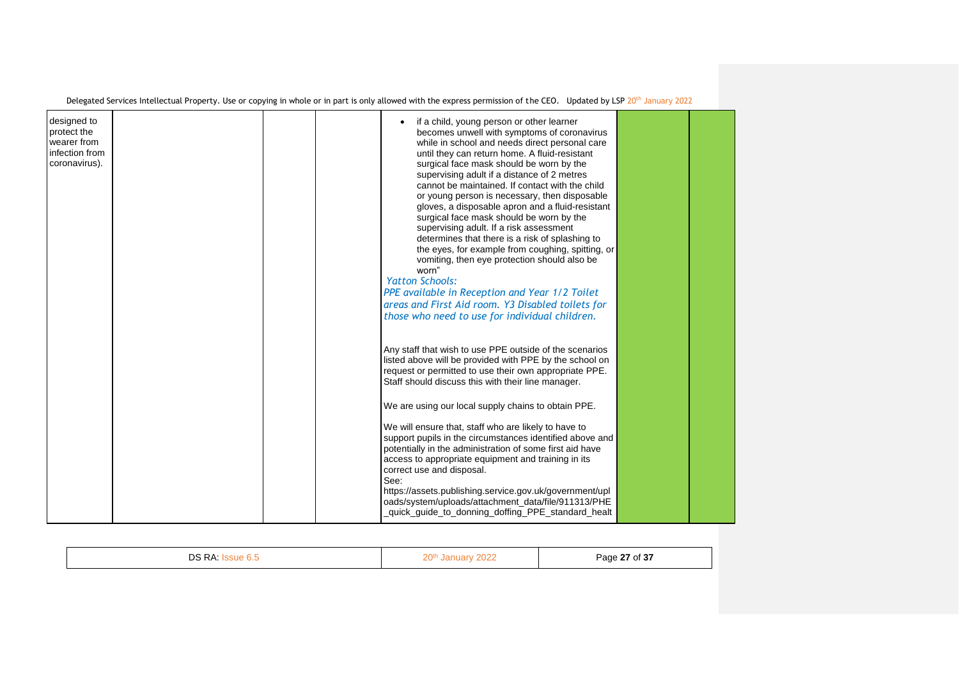|                                                                              | Delegated Services Intellectual Property. Use or copying in whole or in part is only allowed with the express permission of the CEO. Updated by LSP 20 <sup>th</sup> January 2022                                                                                                                                                                                                                                                                                                                                                                                                                                                                                                                                                                                                                                                                                                         |  |
|------------------------------------------------------------------------------|-------------------------------------------------------------------------------------------------------------------------------------------------------------------------------------------------------------------------------------------------------------------------------------------------------------------------------------------------------------------------------------------------------------------------------------------------------------------------------------------------------------------------------------------------------------------------------------------------------------------------------------------------------------------------------------------------------------------------------------------------------------------------------------------------------------------------------------------------------------------------------------------|--|
| designed to<br>protect the<br>wearer from<br>infection from<br>coronavirus). | if a child, young person or other learner<br>becomes unwell with symptoms of coronavirus<br>while in school and needs direct personal care<br>until they can return home. A fluid-resistant<br>surgical face mask should be worn by the<br>supervising adult if a distance of 2 metres<br>cannot be maintained. If contact with the child<br>or young person is necessary, then disposable<br>gloves, a disposable apron and a fluid-resistant<br>surgical face mask should be worn by the<br>supervising adult. If a risk assessment<br>determines that there is a risk of splashing to<br>the eyes, for example from coughing, spitting, or<br>vomiting, then eye protection should also be<br>worn"<br><b>Yatton Schools:</b><br>PPE available in Reception and Year 1/2 Toilet<br>areas and First Aid room. Y3 Disabled toilets for<br>those who need to use for individual children. |  |
|                                                                              | Any staff that wish to use PPE outside of the scenarios<br>listed above will be provided with PPE by the school on<br>request or permitted to use their own appropriate PPE.<br>Staff should discuss this with their line manager.<br>We are using our local supply chains to obtain PPE.<br>We will ensure that, staff who are likely to have to<br>support pupils in the circumstances identified above and<br>potentially in the administration of some first aid have<br>access to appropriate equipment and training in its<br>correct use and disposal.<br>See:<br>https://assets.publishing.service.gov.uk/government/upl<br>oads/system/uploads/attachment_data/file/911313/PHE<br>quick_guide_to_donning_doffing_PPE_standard_healt                                                                                                                                              |  |

| <b>DS RA</b><br>`sue 6.5 | 20 <sup>th</sup><br>January 2022 | Page 27 of 37 |
|--------------------------|----------------------------------|---------------|
|                          |                                  |               |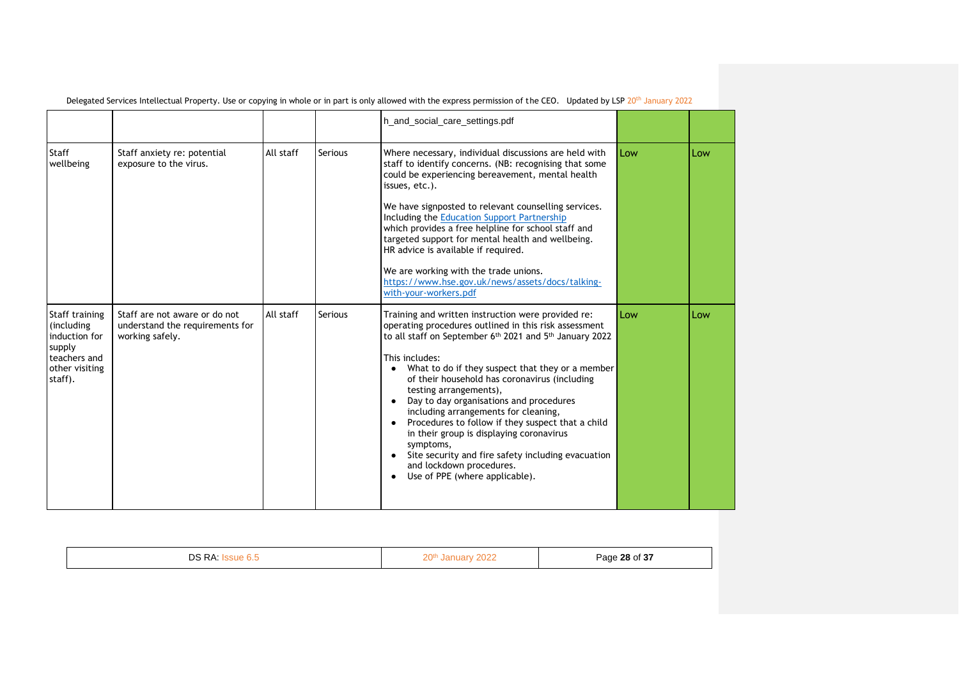|                                                                                                      |                                                                                     |           |         | h_and_social_care_settings.pdf                                                                                                                                                                                                                                                                                                                                                                                                                                                                                                                                                                                                                                                        |     |     |
|------------------------------------------------------------------------------------------------------|-------------------------------------------------------------------------------------|-----------|---------|---------------------------------------------------------------------------------------------------------------------------------------------------------------------------------------------------------------------------------------------------------------------------------------------------------------------------------------------------------------------------------------------------------------------------------------------------------------------------------------------------------------------------------------------------------------------------------------------------------------------------------------------------------------------------------------|-----|-----|
| Staff<br>wellbeing                                                                                   | Staff anxiety re: potential<br>exposure to the virus.                               | All staff | Serious | Where necessary, individual discussions are held with<br>staff to identify concerns. (NB: recognising that some<br>could be experiencing bereavement, mental health<br>issues, etc.).<br>We have signposted to relevant counselling services.<br>Including the Education Support Partnership<br>which provides a free helpline for school staff and<br>targeted support for mental health and wellbeing.<br>HR advice is available if required.<br>We are working with the trade unions.<br>https://www.hse.gov.uk/news/assets/docs/talking-<br>with-your-workers.pdf                                                                                                                 | Low | Low |
| Staff training<br>(including<br>induction for<br>supply<br>teachers and<br>other visiting<br>staff). | Staff are not aware or do not<br>understand the requirements for<br>working safely. | All staff | Serious | Training and written instruction were provided re:<br>operating procedures outlined in this risk assessment<br>to all staff on September 6 <sup>th</sup> 2021 and 5 <sup>th</sup> January 2022<br>This includes:<br>• What to do if they suspect that they or a member<br>of their household has coronavirus (including<br>testing arrangements),<br>Day to day organisations and procedures<br>$\bullet$<br>including arrangements for cleaning,<br>Procedures to follow if they suspect that a child<br>in their group is displaying coronavirus<br>symptoms,<br>• Site security and fire safety including evacuation<br>and lockdown procedures.<br>Use of PPE (where applicable). | Low | Low |

| D <sub>A</sub><br>no.<br>ーー・ | $\bigcap_{n\in\mathbb{N}}$<br>___ | Page 28 of 37<br>.<br>. |
|------------------------------|-----------------------------------|-------------------------|
|                              |                                   |                         |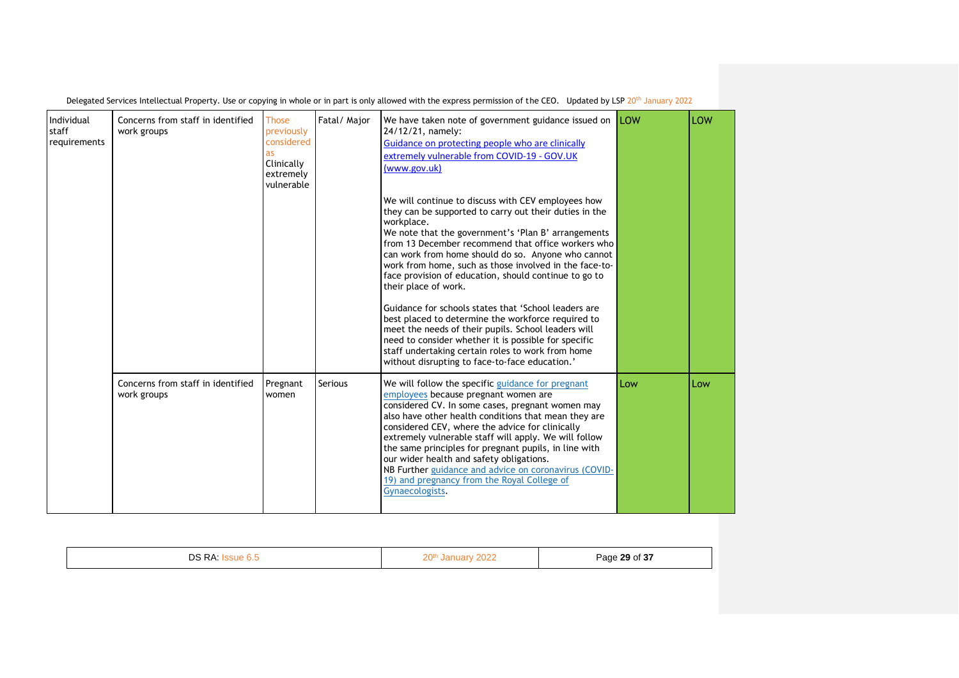| Individual<br>staff<br>requirements | Concerns from staff in identified<br>work groups | <b>Those</b><br>previously<br>considered<br>as<br>Clinically<br>extremely<br>vulnerable | Fatal/ Major   | We have taken note of government guidance issued on <b>LOW</b><br>24/12/21, namely:<br>Guidance on protecting people who are clinically<br>extremely vulnerable from COVID-19 - GOV.UK<br>(www.gov.uk)<br>We will continue to discuss with CEV employees how<br>they can be supported to carry out their duties in the<br>workplace.<br>We note that the government's 'Plan B' arrangements<br>from 13 December recommend that office workers who<br>can work from home should do so. Anyone who cannot<br>work from home, such as those involved in the face-to-<br>face provision of education, should continue to go to<br>their place of work.<br>Guidance for schools states that 'School leaders are<br>best placed to determine the workforce required to<br>meet the needs of their pupils. School leaders will<br>need to consider whether it is possible for specific<br>staff undertaking certain roles to work from home<br>without disrupting to face-to-face education.' |     | LOW |
|-------------------------------------|--------------------------------------------------|-----------------------------------------------------------------------------------------|----------------|----------------------------------------------------------------------------------------------------------------------------------------------------------------------------------------------------------------------------------------------------------------------------------------------------------------------------------------------------------------------------------------------------------------------------------------------------------------------------------------------------------------------------------------------------------------------------------------------------------------------------------------------------------------------------------------------------------------------------------------------------------------------------------------------------------------------------------------------------------------------------------------------------------------------------------------------------------------------------------------|-----|-----|
|                                     | Concerns from staff in identified<br>work groups | Pregnant<br>women                                                                       | <b>Serious</b> | We will follow the specific guidance for pregnant<br>employees because pregnant women are<br>considered CV. In some cases, pregnant women may<br>also have other health conditions that mean they are<br>considered CEV, where the advice for clinically<br>extremely vulnerable staff will apply. We will follow<br>the same principles for pregnant pupils, in line with<br>our wider health and safety obligations.<br>NB Further guidance and advice on coronavirus (COVID-<br>19) and pregnancy from the Royal College of<br>Gynaecologists.                                                                                                                                                                                                                                                                                                                                                                                                                                      | Low | Low |

| D <sub>A</sub><br>r c<br>◡ | $\bigcap_{n\in\mathbb{N}}$<br>$\overline{1}$ | Page 29 of 37 |
|----------------------------|----------------------------------------------|---------------|
|                            |                                              |               |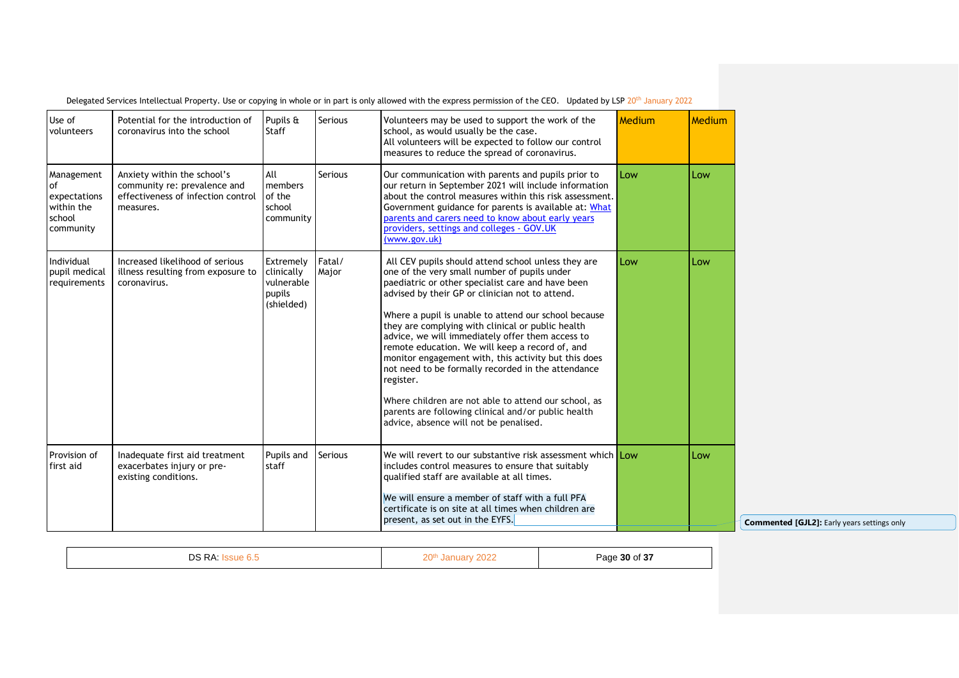| Use of<br>volunteers                                                         | Potential for the introduction of<br>coronavirus into the school                                               | Pupils &<br><b>Staff</b>                                      | <b>Serious</b>  | Volunteers may be used to support the work of the<br>school, as would usually be the case.<br>All volunteers will be expected to follow our control<br>measures to reduce the spread of coronavirus.                                                                                                                                                                                                                                                                                                                                                                                                                                                                                                                | Medium | <b>Medium</b> |
|------------------------------------------------------------------------------|----------------------------------------------------------------------------------------------------------------|---------------------------------------------------------------|-----------------|---------------------------------------------------------------------------------------------------------------------------------------------------------------------------------------------------------------------------------------------------------------------------------------------------------------------------------------------------------------------------------------------------------------------------------------------------------------------------------------------------------------------------------------------------------------------------------------------------------------------------------------------------------------------------------------------------------------------|--------|---------------|
| Management<br><b>of</b><br>expectations<br>within the<br>school<br>community | Anxiety within the school's<br>community re: prevalence and<br>effectiveness of infection control<br>measures. | All<br>members<br>of the<br>school<br>community               | <b>Serious</b>  | Our communication with parents and pupils prior to<br>our return in September 2021 will include information<br>about the control measures within this risk assessment.<br>Government guidance for parents is available at: What<br>parents and carers need to know about early years<br>providers, settings and colleges - GOV.UK<br>(www.gov.uk)                                                                                                                                                                                                                                                                                                                                                                   | Low    | Low           |
| Individual<br>pupil medical<br>requirements                                  | Increased likelihood of serious<br>illness resulting from exposure to<br>coronavirus.                          | Extremely<br>clinically<br>vulnerable<br>pupils<br>(shielded) | Fatal/<br>Major | All CEV pupils should attend school unless they are<br>one of the very small number of pupils under<br>paediatric or other specialist care and have been<br>advised by their GP or clinician not to attend.<br>Where a pupil is unable to attend our school because<br>they are complying with clinical or public health<br>advice, we will immediately offer them access to<br>remote education. We will keep a record of, and<br>monitor engagement with, this activity but this does<br>not need to be formally recorded in the attendance<br>register.<br>Where children are not able to attend our school, as<br>parents are following clinical and/or public health<br>advice, absence will not be penalised. | Low    | Low           |
| Provision of<br>first aid                                                    | Inadequate first aid treatment<br>exacerbates injury or pre-<br>existing conditions.                           | Pupils and<br>staff                                           | Serious         | We will revert to our substantive risk assessment which Low<br>includes control measures to ensure that suitably<br>qualified staff are available at all times.<br>We will ensure a member of staff with a full PFA<br>certificate is on site at all times when children are<br>present, as set out in the EYFS.                                                                                                                                                                                                                                                                                                                                                                                                    |        | Low           |

| DS RA<br>20th<br>30 of 37<br>,,,,<br>⊃ane<br>202<br>- 0<br>. |
|--------------------------------------------------------------|
|--------------------------------------------------------------|

**[GJL2]:** Early years settings only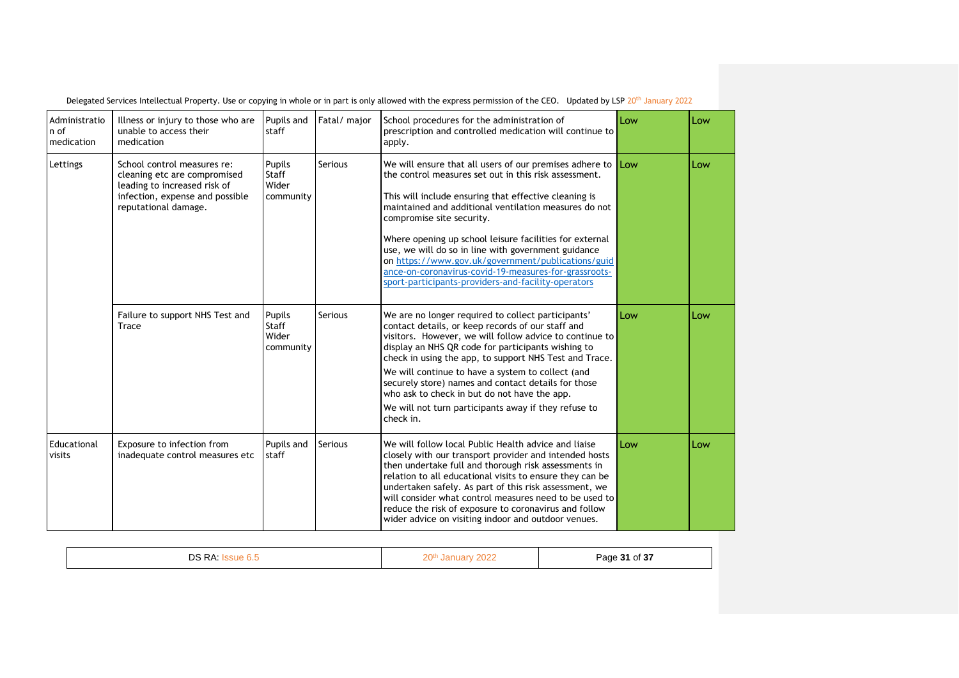| Administratio<br>n of<br>medication | Illness or injury to those who are<br>unable to access their<br>medication                                                                             | Pupils and<br>staff                          | Fatal/major    | School procedures for the administration of<br>prescription and controlled medication will continue to<br>apply.                                                                                                                                                                                                                                                                                                                                                                                                                                        | Low | Low |
|-------------------------------------|--------------------------------------------------------------------------------------------------------------------------------------------------------|----------------------------------------------|----------------|---------------------------------------------------------------------------------------------------------------------------------------------------------------------------------------------------------------------------------------------------------------------------------------------------------------------------------------------------------------------------------------------------------------------------------------------------------------------------------------------------------------------------------------------------------|-----|-----|
| Lettings                            | School control measures re:<br>cleaning etc are compromised<br>leading to increased risk of<br>infection, expense and possible<br>reputational damage. | Pupils<br><b>Staff</b><br>Wider<br>community | Serious        | We will ensure that all users of our premises adhere to<br>the control measures set out in this risk assessment.<br>This will include ensuring that effective cleaning is<br>maintained and additional ventilation measures do not<br>compromise site security.<br>Where opening up school leisure facilities for external<br>use, we will do so in line with government guidance<br>on https://www.gov.uk/government/publications/guid<br>ance-on-coronavirus-covid-19-measures-for-grassroots-<br>sport-participants-providers-and-facility-operators | Low | Low |
|                                     | Failure to support NHS Test and<br>Trace                                                                                                               | Pupils<br><b>Staff</b><br>Wider<br>community | Serious        | We are no longer required to collect participants'<br>contact details, or keep records of our staff and<br>visitors. However, we will follow advice to continue to<br>display an NHS QR code for participants wishing to<br>check in using the app, to support NHS Test and Trace.<br>We will continue to have a system to collect (and<br>securely store) names and contact details for those<br>who ask to check in but do not have the app.<br>We will not turn participants away if they refuse to<br>check in.                                     | Low | Low |
| Educational<br>visits               | Exposure to infection from<br>inadequate control measures etc                                                                                          | Pupils and<br>staff                          | <b>Serious</b> | We will follow local Public Health advice and liaise<br>closely with our transport provider and intended hosts<br>then undertake full and thorough risk assessments in<br>relation to all educational visits to ensure they can be<br>undertaken safely. As part of this risk assessment, we<br>will consider what control measures need to be used to<br>reduce the risk of exposure to coronavirus and follow<br>wider advice on visiting indoor and outdoor venues.                                                                                  | Low | Low |

| DS RA<br>◡<br>$\cdots$ | 20 <sup>th</sup><br>$\sim$ | Page 31 of 37 |
|------------------------|----------------------------|---------------|
|------------------------|----------------------------|---------------|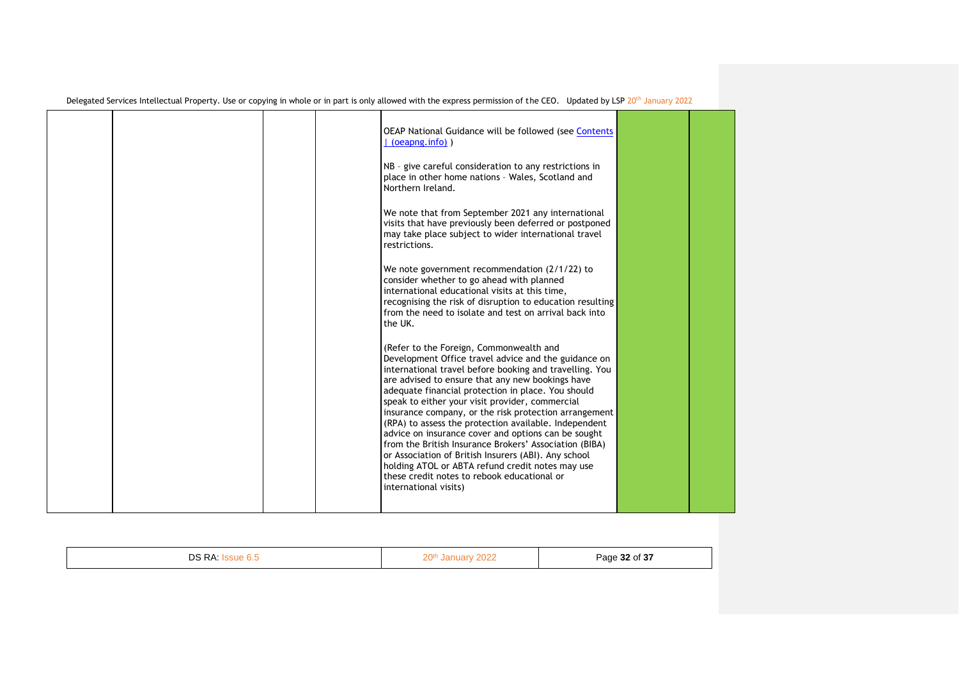|  |  | OEAP National Guidance will be followed (see Contents<br>$(oe$ apng.info $)$ )<br>NB - give careful consideration to any restrictions in<br>place in other home nations - Wales, Scotland and<br>Northern Ireland.<br>We note that from September 2021 any international<br>visits that have previously been deferred or postponed<br>may take place subject to wider international travel<br>restrictions.                                                                                                                                                                                                                                                                                                                                    |  |
|--|--|------------------------------------------------------------------------------------------------------------------------------------------------------------------------------------------------------------------------------------------------------------------------------------------------------------------------------------------------------------------------------------------------------------------------------------------------------------------------------------------------------------------------------------------------------------------------------------------------------------------------------------------------------------------------------------------------------------------------------------------------|--|
|  |  | We note government recommendation (2/1/22) to<br>consider whether to go ahead with planned<br>international educational visits at this time,<br>recognising the risk of disruption to education resulting<br>from the need to isolate and test on arrival back into<br>the UK.                                                                                                                                                                                                                                                                                                                                                                                                                                                                 |  |
|  |  | (Refer to the Foreign, Commonwealth and<br>Development Office travel advice and the guidance on<br>international travel before booking and travelling. You<br>are advised to ensure that any new bookings have<br>adequate financial protection in place. You should<br>speak to either your visit provider, commercial<br>insurance company, or the risk protection arrangement<br>(RPA) to assess the protection available. Independent<br>advice on insurance cover and options can be sought<br>from the British Insurance Brokers' Association (BIBA)<br>or Association of British Insurers (ABI). Any school<br>holding ATOL or ABTA refund credit notes may use<br>these credit notes to rebook educational or<br>international visits) |  |

|--|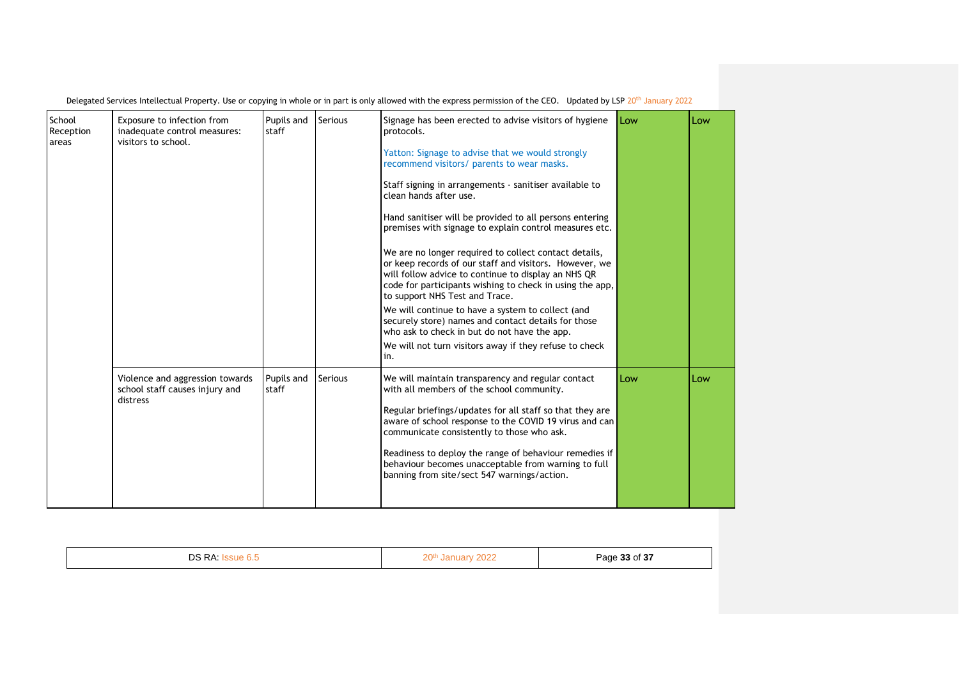| School<br>Reception<br>areas | Exposure to infection from<br>inadequate control measures:<br>visitors to school. | Pupils and<br>staff | <b>Serious</b> | Signage has been erected to advise visitors of hygiene<br>protocols.<br>Yatton: Signage to advise that we would strongly<br>recommend visitors/ parents to wear masks.<br>Staff signing in arrangements - sanitiser available to<br>clean hands after use.<br>Hand sanitiser will be provided to all persons entering<br>premises with signage to explain control measures etc.<br>We are no longer required to collect contact details,<br>or keep records of our staff and visitors. However, we<br>will follow advice to continue to display an NHS QR<br>code for participants wishing to check in using the app,<br>to support NHS Test and Trace.<br>We will continue to have a system to collect (and<br>securely store) names and contact details for those<br>who ask to check in but do not have the app.<br>We will not turn visitors away if they refuse to check<br>in. | <b>Low</b> | Low |
|------------------------------|-----------------------------------------------------------------------------------|---------------------|----------------|--------------------------------------------------------------------------------------------------------------------------------------------------------------------------------------------------------------------------------------------------------------------------------------------------------------------------------------------------------------------------------------------------------------------------------------------------------------------------------------------------------------------------------------------------------------------------------------------------------------------------------------------------------------------------------------------------------------------------------------------------------------------------------------------------------------------------------------------------------------------------------------|------------|-----|
|                              | Violence and aggression towards<br>school staff causes injury and<br>distress     | Pupils and<br>staff | <b>Serious</b> | We will maintain transparency and regular contact<br>with all members of the school community.<br>Regular briefings/updates for all staff so that they are<br>aware of school response to the COVID 19 virus and can<br>communicate consistently to those who ask.<br>Readiness to deploy the range of behaviour remedies if<br>behaviour becomes unacceptable from warning to full<br>banning from site/sect 547 warnings/action.                                                                                                                                                                                                                                                                                                                                                                                                                                                   | Low        | Low |

| DS RA Issue 6.5 | 20 <sup>th</sup> January 2022 | Page 33 of 37 |
|-----------------|-------------------------------|---------------|
|                 |                               |               |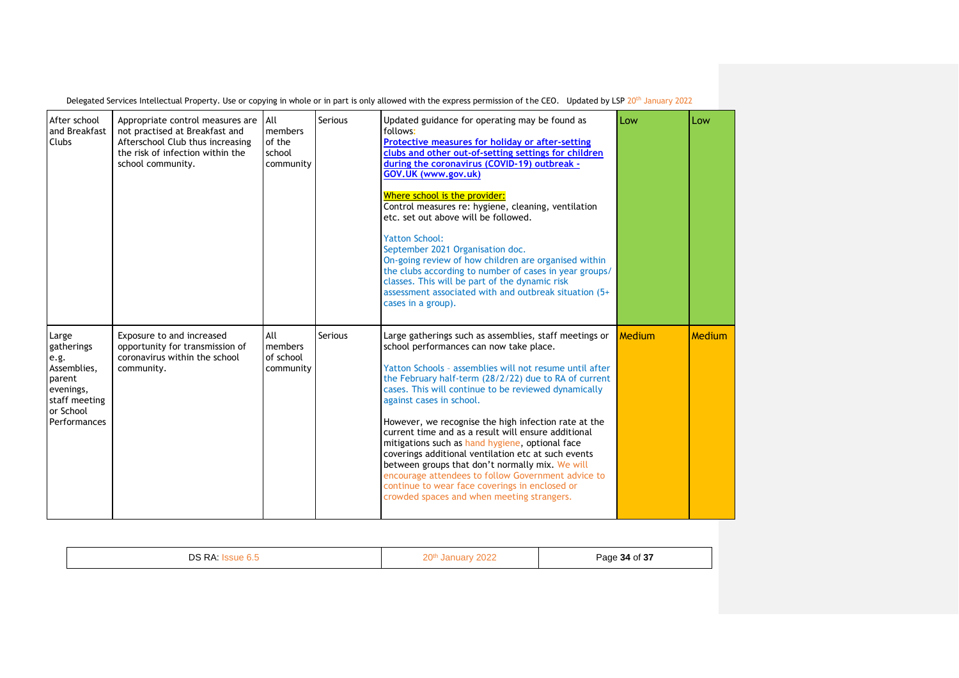| After school<br>and Breakfast<br><b>Clubs</b>                                                                   | Appropriate control measures are All<br>not practised at Breakfast and<br>Afterschool Club thus increasing<br>the risk of infection within the<br>school community. | members<br>of the<br>school<br>community | Serious        | Updated guidance for operating may be found as<br>follows:<br><b>Protective measures for holiday or after-setting</b><br>clubs and other out-of-setting settings for children<br>during the coronavirus (COVID-19) outbreak -<br>GOV.UK (www.gov.uk)<br>Where school is the provider:<br>Control measures re: hygiene, cleaning, ventilation<br>etc. set out above will be followed.<br><b>Yatton School:</b><br>September 2021 Organisation doc.<br>On-going review of how children are organised within<br>the clubs according to number of cases in year groups/<br>classes. This will be part of the dynamic risk<br>assessment associated with and outbreak situation (5+<br>cases in a group).                                        | Low           | Low    |
|-----------------------------------------------------------------------------------------------------------------|---------------------------------------------------------------------------------------------------------------------------------------------------------------------|------------------------------------------|----------------|---------------------------------------------------------------------------------------------------------------------------------------------------------------------------------------------------------------------------------------------------------------------------------------------------------------------------------------------------------------------------------------------------------------------------------------------------------------------------------------------------------------------------------------------------------------------------------------------------------------------------------------------------------------------------------------------------------------------------------------------|---------------|--------|
| Large<br>gatherings<br>e.g.<br>Assemblies,<br>parent<br>evenings,<br>staff meeting<br>or School<br>Performances | Exposure to and increased<br>opportunity for transmission of<br>coronavirus within the school<br>community.                                                         | All<br>members<br>of school<br>community | <b>Serious</b> | Large gatherings such as assemblies, staff meetings or<br>school performances can now take place.<br>Yatton Schools - assemblies will not resume until after<br>the February half-term (28/2/22) due to RA of current<br>cases. This will continue to be reviewed dynamically<br>against cases in school.<br>However, we recognise the high infection rate at the<br>current time and as a result will ensure additional<br>mitigations such as hand hygiene, optional face<br>coverings additional ventilation etc at such events<br>between groups that don't normally mix. We will<br>encourage attendees to follow Government advice to<br>continue to wear face coverings in enclosed or<br>crowded spaces and when meeting strangers. | <b>Medium</b> | Medium |

|--|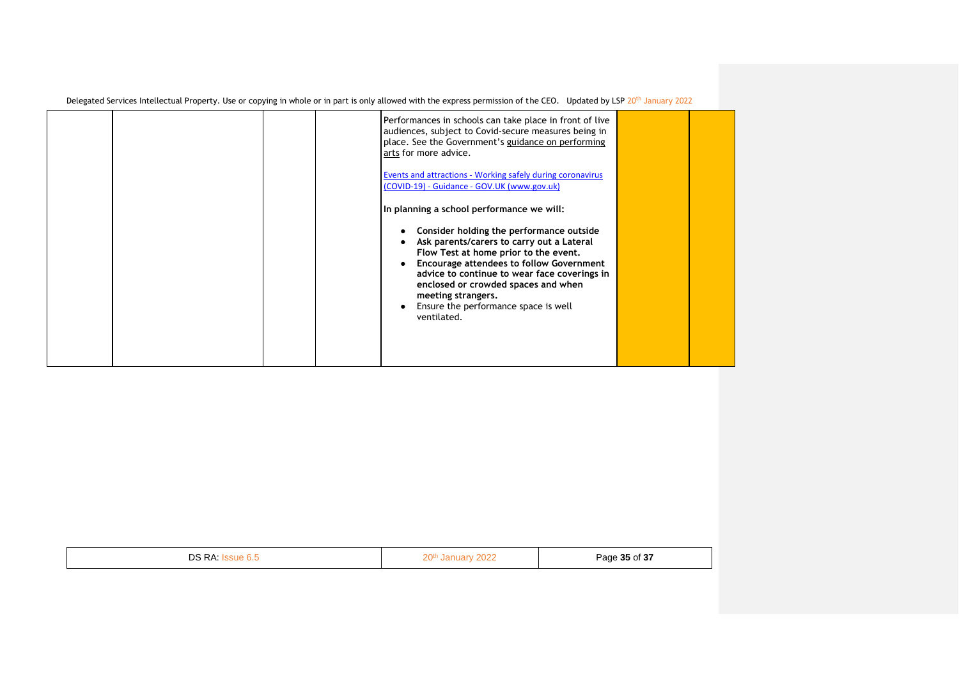|  | Performances in schools can take place in front of live<br>audiences, subject to Covid-secure measures being in<br>place. See the Government's guidance on performing<br>arts for more advice.<br><b>Events and attractions - Working safely during coronavirus</b><br>(COVID-19) - Guidance - GOV.UK (www.gov.uk)                                                                                 |  |
|--|----------------------------------------------------------------------------------------------------------------------------------------------------------------------------------------------------------------------------------------------------------------------------------------------------------------------------------------------------------------------------------------------------|--|
|  | In planning a school performance we will:<br>Consider holding the performance outside<br>Ask parents/carers to carry out a Lateral<br>Flow Test at home prior to the event.<br><b>Encourage attendees to follow Government</b><br>advice to continue to wear face coverings in<br>enclosed or crowded spaces and when<br>meeting strangers.<br>Ensure the performance space is well<br>ventilated. |  |

| DS RA:<br>$\mathbf{v}$ | 20 <sup>th</sup><br>2022 | Page 35 of 37<br>- - - - |
|------------------------|--------------------------|--------------------------|
|------------------------|--------------------------|--------------------------|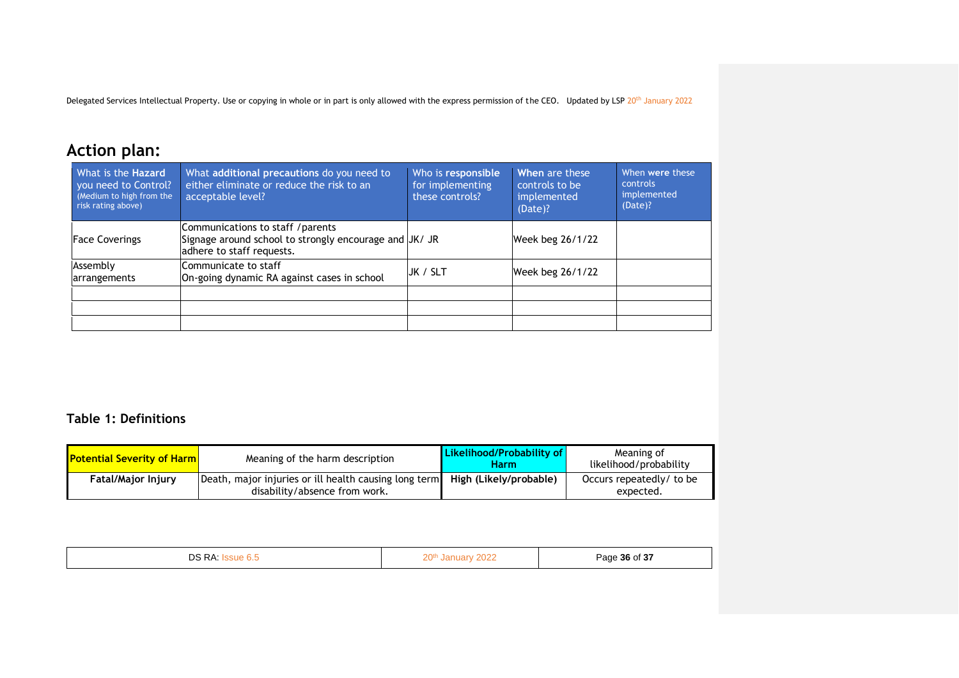# **Action plan:**

| What is the <b>Hazard</b><br>you need to Control?<br>(Medium to high from the<br>risk rating above) | What additional precautions do you need to<br>either eliminate or reduce the risk to an<br>acceptable level?             | Who is responsible<br>for implementing<br>these controls? | When are these<br>controls to be<br>implemented<br>(Date)? | When were these<br><b>controls</b><br>implemented<br>(Date)? |
|-----------------------------------------------------------------------------------------------------|--------------------------------------------------------------------------------------------------------------------------|-----------------------------------------------------------|------------------------------------------------------------|--------------------------------------------------------------|
| <b>Face Coverings</b>                                                                               | Communications to staff / parents<br>Signage around school to strongly encourage and JK/ JR<br>adhere to staff requests. |                                                           | Week beg 26/1/22                                           |                                                              |
| Assembly<br>arrangements                                                                            | Communicate to staff<br>On-going dynamic RA against cases in school                                                      | JK / SLT                                                  | Week beg 26/1/22                                           |                                                              |
|                                                                                                     |                                                                                                                          |                                                           |                                                            |                                                              |
|                                                                                                     |                                                                                                                          |                                                           |                                                            |                                                              |

#### **Table 1: Definitions**

| <b>Potential Severity of Harm</b> | Meaning of the harm description                                                        | <b>Likelihood/Probability of</b><br><b>Harm</b> | Meaning of<br>likelihood/probability  |
|-----------------------------------|----------------------------------------------------------------------------------------|-------------------------------------------------|---------------------------------------|
| <b>Fatal/Major Injury</b>         | Death, major injuries or ill health causing long term<br>disability/absence from work. | High (Likely/probable)                          | Occurs repeatedly/ to be<br>expected. |

| <u>ר S RA:</u><br>.o.c<br>◡◡ | 2022<br>20 <sup>th</sup><br>aca | Page 36 of 37 |
|------------------------------|---------------------------------|---------------|
|------------------------------|---------------------------------|---------------|